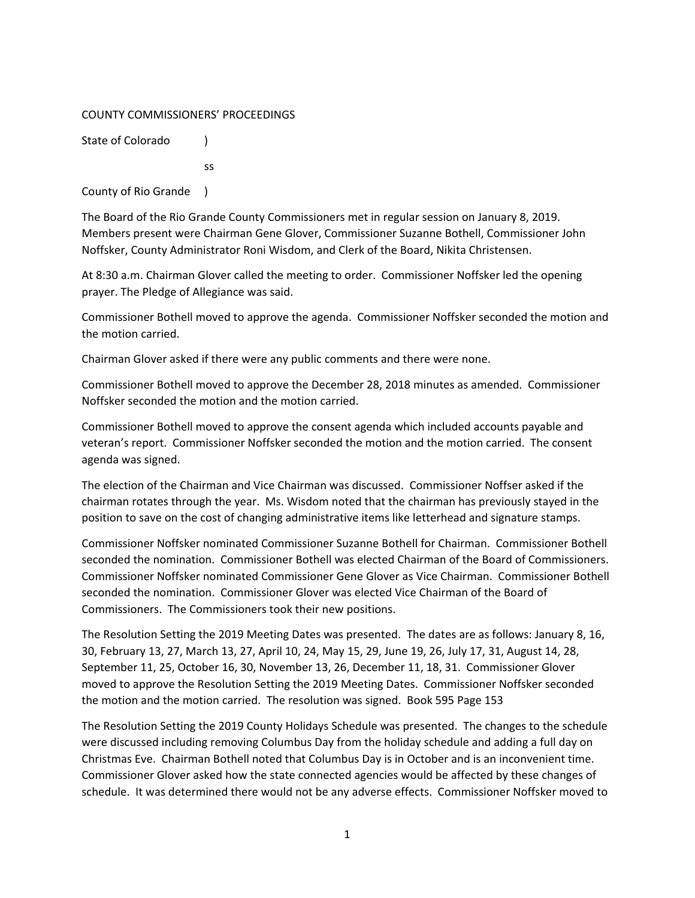#### COUNTY COMMISSIONERS' PROCEEDINGS

State of Colorado (1)

ss

County of Rio Grande )

The Board of the Rio Grande County Commissioners met in regular session on January 8, 2019. Members present were Chairman Gene Glover, Commissioner Suzanne Bothell, Commissioner John Noffsker, County Administrator Roni Wisdom, and Clerk of the Board, Nikita Christensen.

At 8:30 a.m. Chairman Glover called the meeting to order. Commissioner Noffsker led the opening prayer. The Pledge of Allegiance was said.

Commissioner Bothell moved to approve the agenda. Commissioner Noffsker seconded the motion and the motion carried.

Chairman Glover asked if there were any public comments and there were none.

Commissioner Bothell moved to approve the December 28, 2018 minutes as amended. Commissioner Noffsker seconded the motion and the motion carried.

Commissioner Bothell moved to approve the consent agenda which included accounts payable and veteran's report. Commissioner Noffsker seconded the motion and the motion carried. The consent agenda was signed.

The election of the Chairman and Vice Chairman was discussed. Commissioner Noffser asked if the chairman rotates through the year. Ms. Wisdom noted that the chairman has previously stayed in the position to save on the cost of changing administrative items like letterhead and signature stamps.

Commissioner Noffsker nominated Commissioner Suzanne Bothell for Chairman. Commissioner Bothell seconded the nomination. Commissioner Bothell was elected Chairman of the Board of Commissioners. Commissioner Noffsker nominated Commissioner Gene Glover as Vice Chairman. Commissioner Bothell seconded the nomination. Commissioner Glover was elected Vice Chairman of the Board of Commissioners. The Commissioners took their new positions.

The Resolution Setting the 2019 Meeting Dates was presented. The dates are as follows: January 8, 16, 30, February 13, 27, March 13, 27, April 10, 24, May 15, 29, June 19, 26, July 17, 31, August 14, 28, September 11, 25, October 16, 30, November 13, 26, December 11, 18, 31. Commissioner Glover moved to approve the Resolution Setting the 2019 Meeting Dates. Commissioner Noffsker seconded the motion and the motion carried. The resolution was signed. Book 595 Page 153

The Resolution Setting the 2019 County Holidays Schedule was presented. The changes to the schedule were discussed including removing Columbus Day from the holiday schedule and adding a full day on Christmas Eve. Chairman Bothell noted that Columbus Day is in October and is an inconvenient time. Commissioner Glover asked how the state connected agencies would be affected by these changes of schedule. It was determined there would not be any adverse effects. Commissioner Noffsker moved to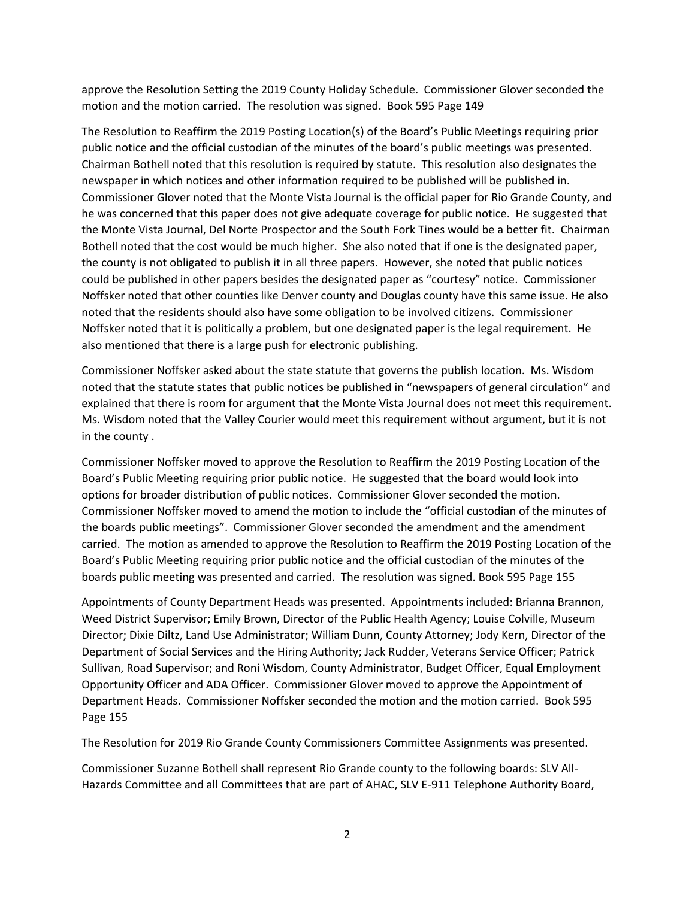approve the Resolution Setting the 2019 County Holiday Schedule. Commissioner Glover seconded the motion and the motion carried. The resolution was signed. Book 595 Page 149

The Resolution to Reaffirm the 2019 Posting Location(s) of the Board's Public Meetings requiring prior public notice and the official custodian of the minutes of the board's public meetings was presented. Chairman Bothell noted that this resolution is required by statute. This resolution also designates the newspaper in which notices and other information required to be published will be published in. Commissioner Glover noted that the Monte Vista Journal is the official paper for Rio Grande County, and he was concerned that this paper does not give adequate coverage for public notice. He suggested that the Monte Vista Journal, Del Norte Prospector and the South Fork Tines would be a better fit. Chairman Bothell noted that the cost would be much higher. She also noted that if one is the designated paper, the county is not obligated to publish it in all three papers. However, she noted that public notices could be published in other papers besides the designated paper as "courtesy" notice. Commissioner Noffsker noted that other counties like Denver county and Douglas county have this same issue. He also noted that the residents should also have some obligation to be involved citizens. Commissioner Noffsker noted that it is politically a problem, but one designated paper is the legal requirement. He also mentioned that there is a large push for electronic publishing.

Commissioner Noffsker asked about the state statute that governs the publish location. Ms. Wisdom noted that the statute states that public notices be published in "newspapers of general circulation" and explained that there is room for argument that the Monte Vista Journal does not meet this requirement. Ms. Wisdom noted that the Valley Courier would meet this requirement without argument, but it is not in the county .

Commissioner Noffsker moved to approve the Resolution to Reaffirm the 2019 Posting Location of the Board's Public Meeting requiring prior public notice. He suggested that the board would look into options for broader distribution of public notices. Commissioner Glover seconded the motion. Commissioner Noffsker moved to amend the motion to include the "official custodian of the minutes of the boards public meetings". Commissioner Glover seconded the amendment and the amendment carried. The motion as amended to approve the Resolution to Reaffirm the 2019 Posting Location of the Board's Public Meeting requiring prior public notice and the official custodian of the minutes of the boards public meeting was presented and carried. The resolution was signed. Book 595 Page 155

Appointments of County Department Heads was presented. Appointments included: Brianna Brannon, Weed District Supervisor; Emily Brown, Director of the Public Health Agency; Louise Colville, Museum Director; Dixie Diltz, Land Use Administrator; William Dunn, County Attorney; Jody Kern, Director of the Department of Social Services and the Hiring Authority; Jack Rudder, Veterans Service Officer; Patrick Sullivan, Road Supervisor; and Roni Wisdom, County Administrator, Budget Officer, Equal Employment Opportunity Officer and ADA Officer. Commissioner Glover moved to approve the Appointment of Department Heads. Commissioner Noffsker seconded the motion and the motion carried. Book 595 Page 155

The Resolution for 2019 Rio Grande County Commissioners Committee Assignments was presented.

Commissioner Suzanne Bothell shall represent Rio Grande county to the following boards: SLV All-Hazards Committee and all Committees that are part of AHAC, SLV E-911 Telephone Authority Board,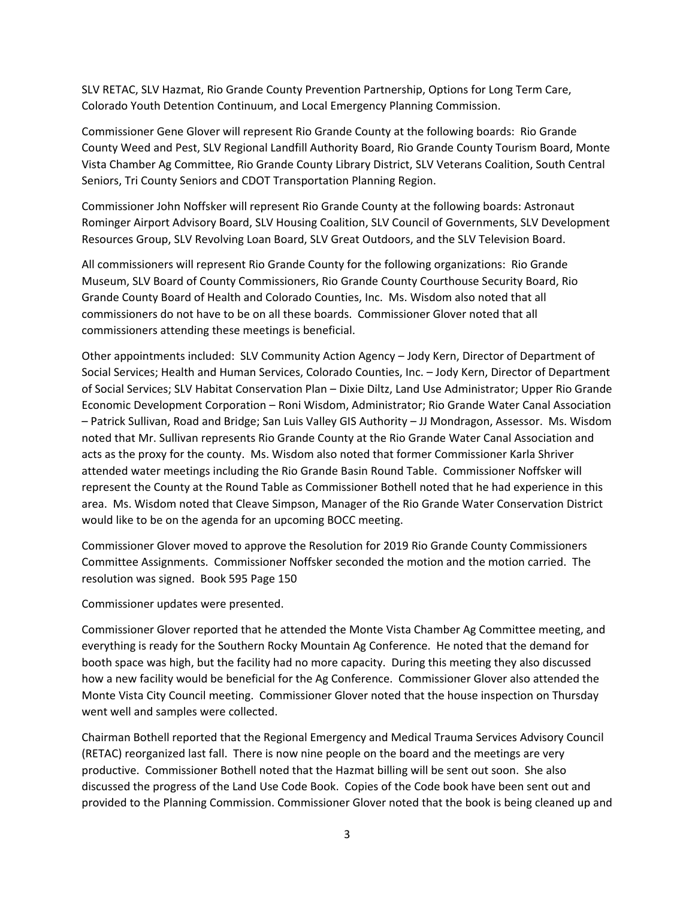SLV RETAC, SLV Hazmat, Rio Grande County Prevention Partnership, Options for Long Term Care, Colorado Youth Detention Continuum, and Local Emergency Planning Commission.

Commissioner Gene Glover will represent Rio Grande County at the following boards: Rio Grande County Weed and Pest, SLV Regional Landfill Authority Board, Rio Grande County Tourism Board, Monte Vista Chamber Ag Committee, Rio Grande County Library District, SLV Veterans Coalition, South Central Seniors, Tri County Seniors and CDOT Transportation Planning Region.

Commissioner John Noffsker will represent Rio Grande County at the following boards: Astronaut Rominger Airport Advisory Board, SLV Housing Coalition, SLV Council of Governments, SLV Development Resources Group, SLV Revolving Loan Board, SLV Great Outdoors, and the SLV Television Board.

All commissioners will represent Rio Grande County for the following organizations: Rio Grande Museum, SLV Board of County Commissioners, Rio Grande County Courthouse Security Board, Rio Grande County Board of Health and Colorado Counties, Inc. Ms. Wisdom also noted that all commissioners do not have to be on all these boards. Commissioner Glover noted that all commissioners attending these meetings is beneficial.

Other appointments included: SLV Community Action Agency – Jody Kern, Director of Department of Social Services; Health and Human Services, Colorado Counties, Inc. – Jody Kern, Director of Department of Social Services; SLV Habitat Conservation Plan – Dixie Diltz, Land Use Administrator; Upper Rio Grande Economic Development Corporation – Roni Wisdom, Administrator; Rio Grande Water Canal Association – Patrick Sullivan, Road and Bridge; San Luis Valley GIS Authority – JJ Mondragon, Assessor. Ms. Wisdom noted that Mr. Sullivan represents Rio Grande County at the Rio Grande Water Canal Association and acts as the proxy for the county. Ms. Wisdom also noted that former Commissioner Karla Shriver attended water meetings including the Rio Grande Basin Round Table. Commissioner Noffsker will represent the County at the Round Table as Commissioner Bothell noted that he had experience in this area. Ms. Wisdom noted that Cleave Simpson, Manager of the Rio Grande Water Conservation District would like to be on the agenda for an upcoming BOCC meeting.

Commissioner Glover moved to approve the Resolution for 2019 Rio Grande County Commissioners Committee Assignments. Commissioner Noffsker seconded the motion and the motion carried. The resolution was signed. Book 595 Page 150

Commissioner updates were presented.

Commissioner Glover reported that he attended the Monte Vista Chamber Ag Committee meeting, and everything is ready for the Southern Rocky Mountain Ag Conference. He noted that the demand for booth space was high, but the facility had no more capacity. During this meeting they also discussed how a new facility would be beneficial for the Ag Conference. Commissioner Glover also attended the Monte Vista City Council meeting. Commissioner Glover noted that the house inspection on Thursday went well and samples were collected.

Chairman Bothell reported that the Regional Emergency and Medical Trauma Services Advisory Council (RETAC) reorganized last fall. There is now nine people on the board and the meetings are very productive. Commissioner Bothell noted that the Hazmat billing will be sent out soon. She also discussed the progress of the Land Use Code Book. Copies of the Code book have been sent out and provided to the Planning Commission. Commissioner Glover noted that the book is being cleaned up and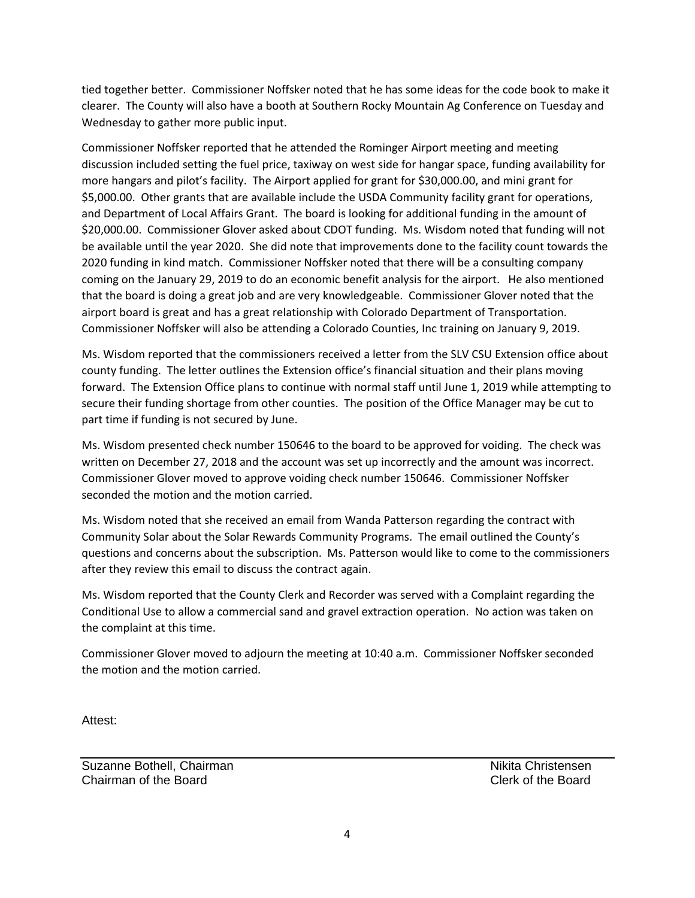tied together better. Commissioner Noffsker noted that he has some ideas for the code book to make it clearer. The County will also have a booth at Southern Rocky Mountain Ag Conference on Tuesday and Wednesday to gather more public input.

Commissioner Noffsker reported that he attended the Rominger Airport meeting and meeting discussion included setting the fuel price, taxiway on west side for hangar space, funding availability for more hangars and pilot's facility. The Airport applied for grant for \$30,000.00, and mini grant for \$5,000.00. Other grants that are available include the USDA Community facility grant for operations, and Department of Local Affairs Grant. The board is looking for additional funding in the amount of \$20,000.00. Commissioner Glover asked about CDOT funding. Ms. Wisdom noted that funding will not be available until the year 2020. She did note that improvements done to the facility count towards the 2020 funding in kind match. Commissioner Noffsker noted that there will be a consulting company coming on the January 29, 2019 to do an economic benefit analysis for the airport. He also mentioned that the board is doing a great job and are very knowledgeable. Commissioner Glover noted that the airport board is great and has a great relationship with Colorado Department of Transportation. Commissioner Noffsker will also be attending a Colorado Counties, Inc training on January 9, 2019.

Ms. Wisdom reported that the commissioners received a letter from the SLV CSU Extension office about county funding. The letter outlines the Extension office's financial situation and their plans moving forward. The Extension Office plans to continue with normal staff until June 1, 2019 while attempting to secure their funding shortage from other counties. The position of the Office Manager may be cut to part time if funding is not secured by June.

Ms. Wisdom presented check number 150646 to the board to be approved for voiding. The check was written on December 27, 2018 and the account was set up incorrectly and the amount was incorrect. Commissioner Glover moved to approve voiding check number 150646. Commissioner Noffsker seconded the motion and the motion carried.

Ms. Wisdom noted that she received an email from Wanda Patterson regarding the contract with Community Solar about the Solar Rewards Community Programs. The email outlined the County's questions and concerns about the subscription. Ms. Patterson would like to come to the commissioners after they review this email to discuss the contract again.

Ms. Wisdom reported that the County Clerk and Recorder was served with a Complaint regarding the Conditional Use to allow a commercial sand and gravel extraction operation. No action was taken on the complaint at this time.

Commissioner Glover moved to adjourn the meeting at 10:40 a.m. Commissioner Noffsker seconded the motion and the motion carried.

Attest:

Suzanne Bothell, Chairman Nikita Christensen Nikita Christensen Chairman of the Board Clerk of the Board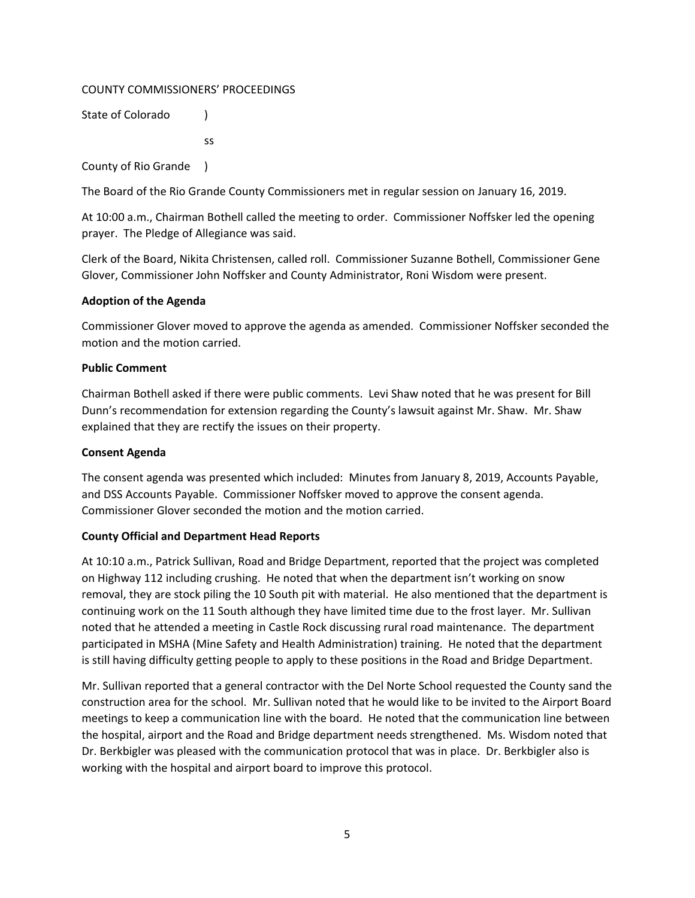### COUNTY COMMISSIONERS' PROCEEDINGS

State of Colorado (a)

ss

County of Rio Grande )

The Board of the Rio Grande County Commissioners met in regular session on January 16, 2019.

At 10:00 a.m., Chairman Bothell called the meeting to order. Commissioner Noffsker led the opening prayer. The Pledge of Allegiance was said.

Clerk of the Board, Nikita Christensen, called roll. Commissioner Suzanne Bothell, Commissioner Gene Glover, Commissioner John Noffsker and County Administrator, Roni Wisdom were present.

### **Adoption of the Agenda**

Commissioner Glover moved to approve the agenda as amended. Commissioner Noffsker seconded the motion and the motion carried.

### **Public Comment**

Chairman Bothell asked if there were public comments. Levi Shaw noted that he was present for Bill Dunn's recommendation for extension regarding the County's lawsuit against Mr. Shaw. Mr. Shaw explained that they are rectify the issues on their property.

### **Consent Agenda**

The consent agenda was presented which included: Minutes from January 8, 2019, Accounts Payable, and DSS Accounts Payable. Commissioner Noffsker moved to approve the consent agenda. Commissioner Glover seconded the motion and the motion carried.

# **County Official and Department Head Reports**

At 10:10 a.m., Patrick Sullivan, Road and Bridge Department, reported that the project was completed on Highway 112 including crushing. He noted that when the department isn't working on snow removal, they are stock piling the 10 South pit with material. He also mentioned that the department is continuing work on the 11 South although they have limited time due to the frost layer. Mr. Sullivan noted that he attended a meeting in Castle Rock discussing rural road maintenance. The department participated in MSHA (Mine Safety and Health Administration) training. He noted that the department is still having difficulty getting people to apply to these positions in the Road and Bridge Department.

Mr. Sullivan reported that a general contractor with the Del Norte School requested the County sand the construction area for the school. Mr. Sullivan noted that he would like to be invited to the Airport Board meetings to keep a communication line with the board. He noted that the communication line between the hospital, airport and the Road and Bridge department needs strengthened. Ms. Wisdom noted that Dr. Berkbigler was pleased with the communication protocol that was in place. Dr. Berkbigler also is working with the hospital and airport board to improve this protocol.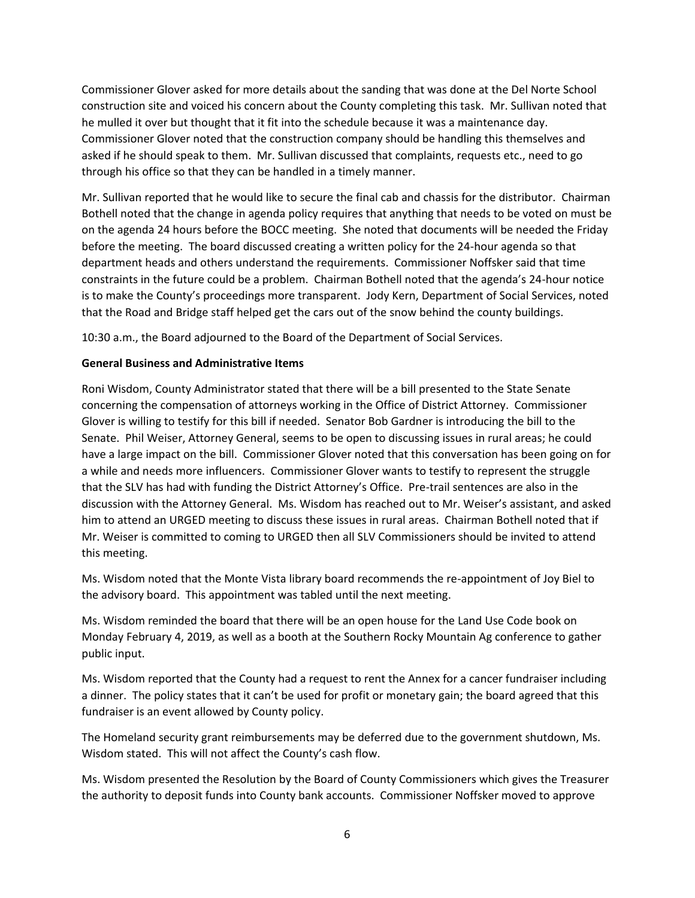Commissioner Glover asked for more details about the sanding that was done at the Del Norte School construction site and voiced his concern about the County completing this task. Mr. Sullivan noted that he mulled it over but thought that it fit into the schedule because it was a maintenance day. Commissioner Glover noted that the construction company should be handling this themselves and asked if he should speak to them. Mr. Sullivan discussed that complaints, requests etc., need to go through his office so that they can be handled in a timely manner.

Mr. Sullivan reported that he would like to secure the final cab and chassis for the distributor. Chairman Bothell noted that the change in agenda policy requires that anything that needs to be voted on must be on the agenda 24 hours before the BOCC meeting. She noted that documents will be needed the Friday before the meeting. The board discussed creating a written policy for the 24-hour agenda so that department heads and others understand the requirements. Commissioner Noffsker said that time constraints in the future could be a problem. Chairman Bothell noted that the agenda's 24-hour notice is to make the County's proceedings more transparent. Jody Kern, Department of Social Services, noted that the Road and Bridge staff helped get the cars out of the snow behind the county buildings.

10:30 a.m., the Board adjourned to the Board of the Department of Social Services.

### **General Business and Administrative Items**

Roni Wisdom, County Administrator stated that there will be a bill presented to the State Senate concerning the compensation of attorneys working in the Office of District Attorney. Commissioner Glover is willing to testify for this bill if needed. Senator Bob Gardner is introducing the bill to the Senate. Phil Weiser, Attorney General, seems to be open to discussing issues in rural areas; he could have a large impact on the bill. Commissioner Glover noted that this conversation has been going on for a while and needs more influencers. Commissioner Glover wants to testify to represent the struggle that the SLV has had with funding the District Attorney's Office. Pre-trail sentences are also in the discussion with the Attorney General. Ms. Wisdom has reached out to Mr. Weiser's assistant, and asked him to attend an URGED meeting to discuss these issues in rural areas. Chairman Bothell noted that if Mr. Weiser is committed to coming to URGED then all SLV Commissioners should be invited to attend this meeting.

Ms. Wisdom noted that the Monte Vista library board recommends the re-appointment of Joy Biel to the advisory board. This appointment was tabled until the next meeting.

Ms. Wisdom reminded the board that there will be an open house for the Land Use Code book on Monday February 4, 2019, as well as a booth at the Southern Rocky Mountain Ag conference to gather public input.

Ms. Wisdom reported that the County had a request to rent the Annex for a cancer fundraiser including a dinner. The policy states that it can't be used for profit or monetary gain; the board agreed that this fundraiser is an event allowed by County policy.

The Homeland security grant reimbursements may be deferred due to the government shutdown, Ms. Wisdom stated. This will not affect the County's cash flow.

Ms. Wisdom presented the Resolution by the Board of County Commissioners which gives the Treasurer the authority to deposit funds into County bank accounts. Commissioner Noffsker moved to approve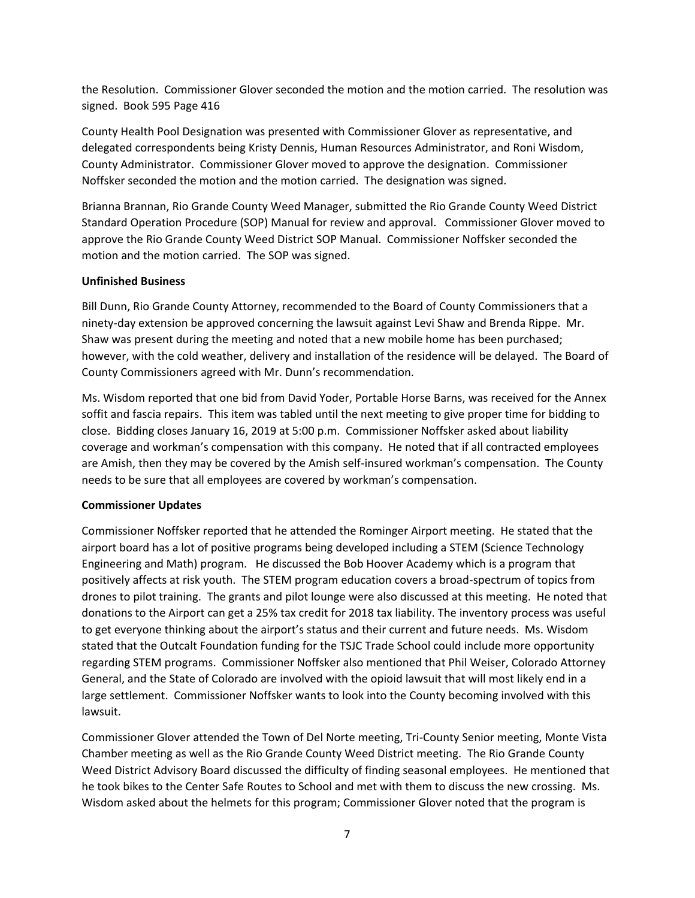the Resolution. Commissioner Glover seconded the motion and the motion carried. The resolution was signed. Book 595 Page 416

County Health Pool Designation was presented with Commissioner Glover as representative, and delegated correspondents being Kristy Dennis, Human Resources Administrator, and Roni Wisdom, County Administrator. Commissioner Glover moved to approve the designation. Commissioner Noffsker seconded the motion and the motion carried. The designation was signed.

Brianna Brannan, Rio Grande County Weed Manager, submitted the Rio Grande County Weed District Standard Operation Procedure (SOP) Manual for review and approval. Commissioner Glover moved to approve the Rio Grande County Weed District SOP Manual. Commissioner Noffsker seconded the motion and the motion carried. The SOP was signed.

### **Unfinished Business**

Bill Dunn, Rio Grande County Attorney, recommended to the Board of County Commissioners that a ninety-day extension be approved concerning the lawsuit against Levi Shaw and Brenda Rippe. Mr. Shaw was present during the meeting and noted that a new mobile home has been purchased; however, with the cold weather, delivery and installation of the residence will be delayed. The Board of County Commissioners agreed with Mr. Dunn's recommendation.

Ms. Wisdom reported that one bid from David Yoder, Portable Horse Barns, was received for the Annex soffit and fascia repairs. This item was tabled until the next meeting to give proper time for bidding to close. Bidding closes January 16, 2019 at 5:00 p.m. Commissioner Noffsker asked about liability coverage and workman's compensation with this company. He noted that if all contracted employees are Amish, then they may be covered by the Amish self-insured workman's compensation. The County needs to be sure that all employees are covered by workman's compensation.

### **Commissioner Updates**

Commissioner Noffsker reported that he attended the Rominger Airport meeting. He stated that the airport board has a lot of positive programs being developed including a STEM (Science Technology Engineering and Math) program. He discussed the Bob Hoover Academy which is a program that positively affects at risk youth. The STEM program education covers a broad-spectrum of topics from drones to pilot training. The grants and pilot lounge were also discussed at this meeting. He noted that donations to the Airport can get a 25% tax credit for 2018 tax liability. The inventory process was useful to get everyone thinking about the airport's status and their current and future needs. Ms. Wisdom stated that the Outcalt Foundation funding for the TSJC Trade School could include more opportunity regarding STEM programs. Commissioner Noffsker also mentioned that Phil Weiser, Colorado Attorney General, and the State of Colorado are involved with the opioid lawsuit that will most likely end in a large settlement. Commissioner Noffsker wants to look into the County becoming involved with this lawsuit.

Commissioner Glover attended the Town of Del Norte meeting, Tri-County Senior meeting, Monte Vista Chamber meeting as well as the Rio Grande County Weed District meeting. The Rio Grande County Weed District Advisory Board discussed the difficulty of finding seasonal employees. He mentioned that he took bikes to the Center Safe Routes to School and met with them to discuss the new crossing. Ms. Wisdom asked about the helmets for this program; Commissioner Glover noted that the program is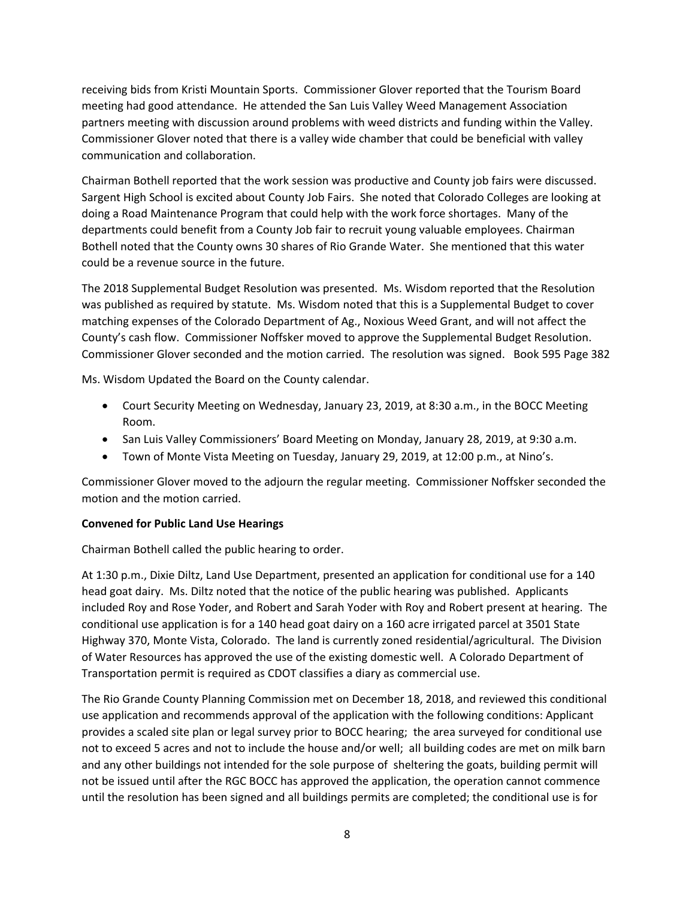receiving bids from Kristi Mountain Sports. Commissioner Glover reported that the Tourism Board meeting had good attendance. He attended the San Luis Valley Weed Management Association partners meeting with discussion around problems with weed districts and funding within the Valley. Commissioner Glover noted that there is a valley wide chamber that could be beneficial with valley communication and collaboration.

Chairman Bothell reported that the work session was productive and County job fairs were discussed. Sargent High School is excited about County Job Fairs. She noted that Colorado Colleges are looking at doing a Road Maintenance Program that could help with the work force shortages. Many of the departments could benefit from a County Job fair to recruit young valuable employees. Chairman Bothell noted that the County owns 30 shares of Rio Grande Water. She mentioned that this water could be a revenue source in the future.

The 2018 Supplemental Budget Resolution was presented. Ms. Wisdom reported that the Resolution was published as required by statute. Ms. Wisdom noted that this is a Supplemental Budget to cover matching expenses of the Colorado Department of Ag., Noxious Weed Grant, and will not affect the County's cash flow. Commissioner Noffsker moved to approve the Supplemental Budget Resolution. Commissioner Glover seconded and the motion carried. The resolution was signed. Book 595 Page 382

Ms. Wisdom Updated the Board on the County calendar.

- Court Security Meeting on Wednesday, January 23, 2019, at 8:30 a.m., in the BOCC Meeting Room.
- San Luis Valley Commissioners' Board Meeting on Monday, January 28, 2019, at 9:30 a.m.
- Town of Monte Vista Meeting on Tuesday, January 29, 2019, at 12:00 p.m., at Nino's.

Commissioner Glover moved to the adjourn the regular meeting. Commissioner Noffsker seconded the motion and the motion carried.

# **Convened for Public Land Use Hearings**

Chairman Bothell called the public hearing to order.

At 1:30 p.m., Dixie Diltz, Land Use Department, presented an application for conditional use for a 140 head goat dairy. Ms. Diltz noted that the notice of the public hearing was published. Applicants included Roy and Rose Yoder, and Robert and Sarah Yoder with Roy and Robert present at hearing. The conditional use application is for a 140 head goat dairy on a 160 acre irrigated parcel at 3501 State Highway 370, Monte Vista, Colorado. The land is currently zoned residential/agricultural. The Division of Water Resources has approved the use of the existing domestic well. A Colorado Department of Transportation permit is required as CDOT classifies a diary as commercial use.

The Rio Grande County Planning Commission met on December 18, 2018, and reviewed this conditional use application and recommends approval of the application with the following conditions: Applicant provides a scaled site plan or legal survey prior to BOCC hearing; the area surveyed for conditional use not to exceed 5 acres and not to include the house and/or well; all building codes are met on milk barn and any other buildings not intended for the sole purpose of sheltering the goats, building permit will not be issued until after the RGC BOCC has approved the application, the operation cannot commence until the resolution has been signed and all buildings permits are completed; the conditional use is for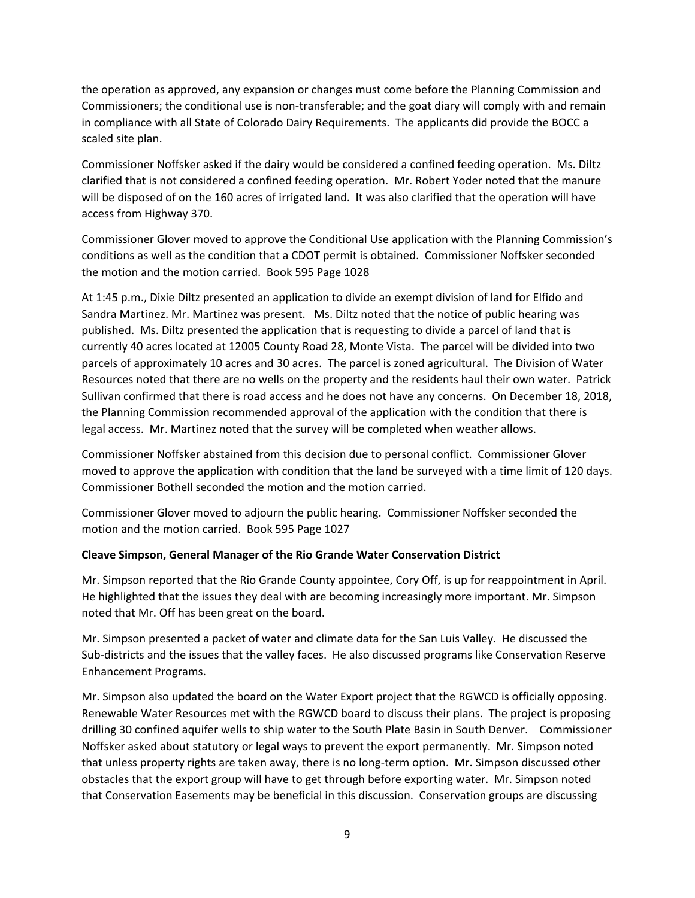the operation as approved, any expansion or changes must come before the Planning Commission and Commissioners; the conditional use is non-transferable; and the goat diary will comply with and remain in compliance with all State of Colorado Dairy Requirements. The applicants did provide the BOCC a scaled site plan.

Commissioner Noffsker asked if the dairy would be considered a confined feeding operation. Ms. Diltz clarified that is not considered a confined feeding operation. Mr. Robert Yoder noted that the manure will be disposed of on the 160 acres of irrigated land. It was also clarified that the operation will have access from Highway 370.

Commissioner Glover moved to approve the Conditional Use application with the Planning Commission's conditions as well as the condition that a CDOT permit is obtained. Commissioner Noffsker seconded the motion and the motion carried. Book 595 Page 1028

At 1:45 p.m., Dixie Diltz presented an application to divide an exempt division of land for Elfido and Sandra Martinez. Mr. Martinez was present. Ms. Diltz noted that the notice of public hearing was published. Ms. Diltz presented the application that is requesting to divide a parcel of land that is currently 40 acres located at 12005 County Road 28, Monte Vista. The parcel will be divided into two parcels of approximately 10 acres and 30 acres. The parcel is zoned agricultural. The Division of Water Resources noted that there are no wells on the property and the residents haul their own water. Patrick Sullivan confirmed that there is road access and he does not have any concerns. On December 18, 2018, the Planning Commission recommended approval of the application with the condition that there is legal access. Mr. Martinez noted that the survey will be completed when weather allows.

Commissioner Noffsker abstained from this decision due to personal conflict. Commissioner Glover moved to approve the application with condition that the land be surveyed with a time limit of 120 days. Commissioner Bothell seconded the motion and the motion carried.

Commissioner Glover moved to adjourn the public hearing. Commissioner Noffsker seconded the motion and the motion carried. Book 595 Page 1027

# **Cleave Simpson, General Manager of the Rio Grande Water Conservation District**

Mr. Simpson reported that the Rio Grande County appointee, Cory Off, is up for reappointment in April. He highlighted that the issues they deal with are becoming increasingly more important. Mr. Simpson noted that Mr. Off has been great on the board.

Mr. Simpson presented a packet of water and climate data for the San Luis Valley. He discussed the Sub-districts and the issues that the valley faces. He also discussed programs like Conservation Reserve Enhancement Programs.

Mr. Simpson also updated the board on the Water Export project that the RGWCD is officially opposing. Renewable Water Resources met with the RGWCD board to discuss their plans. The project is proposing drilling 30 confined aquifer wells to ship water to the South Plate Basin in South Denver. Commissioner Noffsker asked about statutory or legal ways to prevent the export permanently. Mr. Simpson noted that unless property rights are taken away, there is no long-term option. Mr. Simpson discussed other obstacles that the export group will have to get through before exporting water. Mr. Simpson noted that Conservation Easements may be beneficial in this discussion. Conservation groups are discussing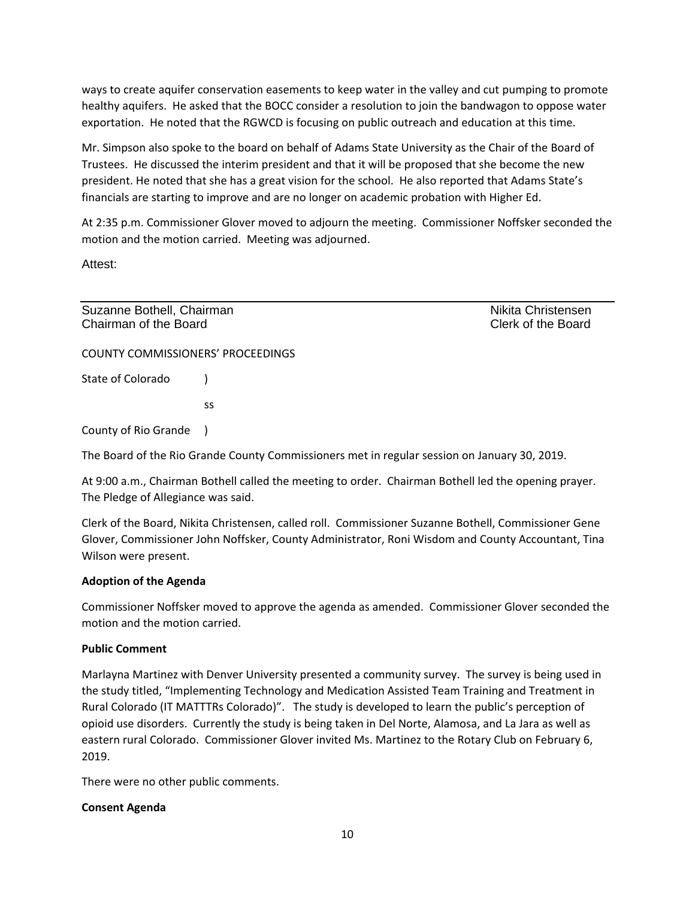ways to create aquifer conservation easements to keep water in the valley and cut pumping to promote healthy aquifers. He asked that the BOCC consider a resolution to join the bandwagon to oppose water exportation. He noted that the RGWCD is focusing on public outreach and education at this time.

Mr. Simpson also spoke to the board on behalf of Adams State University as the Chair of the Board of Trustees. He discussed the interim president and that it will be proposed that she become the new president. He noted that she has a great vision for the school. He also reported that Adams State's financials are starting to improve and are no longer on academic probation with Higher Ed.

At 2:35 p.m. Commissioner Glover moved to adjourn the meeting. Commissioner Noffsker seconded the motion and the motion carried. Meeting was adjourned.

Attest:

Suzanne Bothell, Chairman Nikita Christensen Nikita Christensen Chairman of the Board Clerk of the Board

COUNTY COMMISSIONERS' PROCEEDINGS

State of Colorado (1)

ss

County of Rio Grande )

The Board of the Rio Grande County Commissioners met in regular session on January 30, 2019.

At 9:00 a.m., Chairman Bothell called the meeting to order. Chairman Bothell led the opening prayer. The Pledge of Allegiance was said.

Clerk of the Board, Nikita Christensen, called roll. Commissioner Suzanne Bothell, Commissioner Gene Glover, Commissioner John Noffsker, County Administrator, Roni Wisdom and County Accountant, Tina Wilson were present.

### **Adoption of the Agenda**

Commissioner Noffsker moved to approve the agenda as amended. Commissioner Glover seconded the motion and the motion carried.

### **Public Comment**

Marlayna Martinez with Denver University presented a community survey. The survey is being used in the study titled, "Implementing Technology and Medication Assisted Team Training and Treatment in Rural Colorado (IT MATTTRs Colorado)". The study is developed to learn the public's perception of opioid use disorders. Currently the study is being taken in Del Norte, Alamosa, and La Jara as well as eastern rural Colorado. Commissioner Glover invited Ms. Martinez to the Rotary Club on February 6, 2019.

There were no other public comments.

# **Consent Agenda**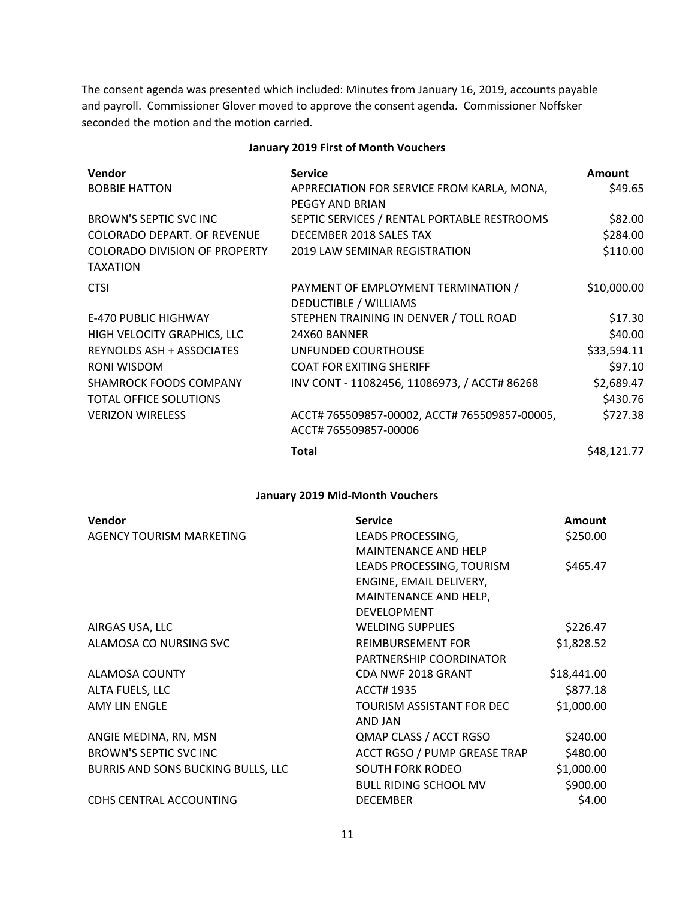The consent agenda was presented which included: Minutes from January 16, 2019, accounts payable and payroll. Commissioner Glover moved to approve the consent agenda. Commissioner Noffsker seconded the motion and the motion carried.

#### **January 2019 First of Month Vouchers**

| <b>Vendor</b>                                    | <b>Service</b>                                                         | <b>Amount</b> |
|--------------------------------------------------|------------------------------------------------------------------------|---------------|
| <b>BOBBIE HATTON</b>                             | APPRECIATION FOR SERVICE FROM KARLA, MONA,<br>PEGGY AND BRIAN          | \$49.65       |
| BROWN'S SEPTIC SVC INC                           | SEPTIC SERVICES / RENTAL PORTABLE RESTROOMS                            | \$82.00       |
| COLORADO DEPART. OF REVENUE                      | DECEMBER 2018 SALES TAX                                                | \$284.00      |
| COLORADO DIVISION OF PROPERTY<br><b>TAXATION</b> | 2019 LAW SEMINAR REGISTRATION                                          | \$110.00      |
| <b>CTSI</b>                                      | PAYMENT OF EMPLOYMENT TERMINATION /<br>DEDUCTIBLE / WILLIAMS           | \$10,000.00   |
| E-470 PUBLIC HIGHWAY                             | STEPHEN TRAINING IN DENVER / TOLL ROAD                                 | \$17.30       |
| HIGH VELOCITY GRAPHICS, LLC                      | 24X60 BANNER                                                           | \$40.00       |
| REYNOLDS ASH + ASSOCIATES                        | UNFUNDED COURTHOUSE                                                    | \$33,594.11   |
| RONI WISDOM                                      | <b>COAT FOR EXITING SHERIFF</b>                                        | \$97.10       |
| <b>SHAMROCK FOODS COMPANY</b>                    | INV CONT - 11082456, 11086973, / ACCT# 86268                           | \$2,689.47    |
| <b>TOTAL OFFICE SOLUTIONS</b>                    |                                                                        | \$430.76      |
| <b>VERIZON WIRELESS</b>                          | ACCT# 765509857-00002, ACCT# 765509857-00005,<br>ACCT# 765509857-00006 | \$727.38      |
|                                                  | <b>Total</b>                                                           | \$48,121.77   |

#### **January 2019 Mid-Month Vouchers**

| Vendor                             | <b>Service</b>               | <b>Amount</b> |
|------------------------------------|------------------------------|---------------|
| AGENCY TOURISM MARKETING           | LEADS PROCESSING,            | \$250.00      |
|                                    | <b>MAINTENANCE AND HELP</b>  |               |
|                                    | LEADS PROCESSING, TOURISM    | \$465.47      |
|                                    | ENGINE, EMAIL DELIVERY,      |               |
|                                    | MAINTENANCE AND HELP,        |               |
|                                    | <b>DEVELOPMENT</b>           |               |
| AIRGAS USA, LLC                    | <b>WELDING SUPPLIES</b>      | \$226.47      |
| ALAMOSA CO NURSING SVC             | <b>REIMBURSEMENT FOR</b>     | \$1,828.52    |
|                                    | PARTNERSHIP COORDINATOR      |               |
| ALAMOSA COUNTY                     | CDA NWF 2018 GRANT           | \$18,441.00   |
| ALTA FUELS, LLC                    | <b>ACCT# 1935</b>            | \$877.18      |
| <b>AMY LIN ENGLE</b>               | TOURISM ASSISTANT FOR DEC    | \$1,000.00    |
|                                    | AND JAN                      |               |
| ANGIE MEDINA, RN, MSN              | QMAP CLASS / ACCT RGSO       | \$240.00      |
| BROWN'S SEPTIC SVC INC             | ACCT RGSO / PUMP GREASE TRAP | \$480.00      |
| BURRIS AND SONS BUCKING BULLS, LLC | <b>SOUTH FORK RODEO</b>      | \$1,000.00    |
|                                    | <b>BULL RIDING SCHOOL MV</b> | \$900.00      |
| <b>CDHS CENTRAL ACCOUNTING</b>     | <b>DECEMBER</b>              | \$4.00        |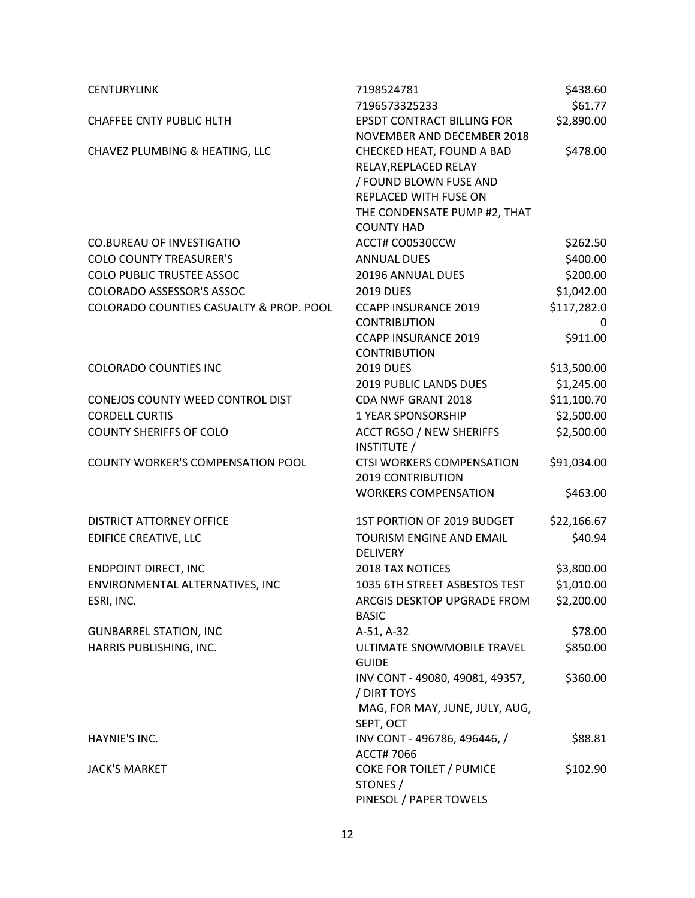| <b>CENTURYLINK</b>                      | 7198524781                                  | \$438.60    |
|-----------------------------------------|---------------------------------------------|-------------|
|                                         | 7196573325233                               | \$61.77     |
| <b>CHAFFEE CNTY PUBLIC HLTH</b>         | EPSDT CONTRACT BILLING FOR                  | \$2,890.00  |
|                                         | NOVEMBER AND DECEMBER 2018                  |             |
| CHAVEZ PLUMBING & HEATING, LLC          | CHECKED HEAT, FOUND A BAD                   | \$478.00    |
|                                         | RELAY, REPLACED RELAY                       |             |
|                                         | / FOUND BLOWN FUSE AND                      |             |
|                                         | REPLACED WITH FUSE ON                       |             |
|                                         | THE CONDENSATE PUMP #2, THAT                |             |
|                                         | <b>COUNTY HAD</b>                           |             |
| <b>CO.BUREAU OF INVESTIGATIO</b>        | ACCT# CO0530CCW                             | \$262.50    |
| <b>COLO COUNTY TREASURER'S</b>          | <b>ANNUAL DUES</b>                          | \$400.00    |
| <b>COLO PUBLIC TRUSTEE ASSOC</b>        | 20196 ANNUAL DUES                           | \$200.00    |
| <b>COLORADO ASSESSOR'S ASSOC</b>        | <b>2019 DUES</b>                            | \$1,042.00  |
| COLORADO COUNTIES CASUALTY & PROP. POOL | <b>CCAPP INSURANCE 2019</b>                 | \$117,282.0 |
|                                         | <b>CONTRIBUTION</b>                         | 0           |
|                                         | <b>CCAPP INSURANCE 2019</b>                 | \$911.00    |
|                                         | <b>CONTRIBUTION</b>                         |             |
| <b>COLORADO COUNTIES INC</b>            | <b>2019 DUES</b>                            | \$13,500.00 |
|                                         | 2019 PUBLIC LANDS DUES                      | \$1,245.00  |
| CONEJOS COUNTY WEED CONTROL DIST        | <b>CDA NWF GRANT 2018</b>                   | \$11,100.70 |
| <b>CORDELL CURTIS</b>                   | <b>1 YEAR SPONSORSHIP</b>                   | \$2,500.00  |
| <b>COUNTY SHERIFFS OF COLO</b>          | <b>ACCT RGSO / NEW SHERIFFS</b>             | \$2,500.00  |
|                                         | INSTITUTE /                                 |             |
| COUNTY WORKER'S COMPENSATION POOL       | CTSI WORKERS COMPENSATION                   | \$91,034.00 |
|                                         | <b>2019 CONTRIBUTION</b>                    |             |
|                                         | <b>WORKERS COMPENSATION</b>                 | \$463.00    |
| <b>DISTRICT ATTORNEY OFFICE</b>         | 1ST PORTION OF 2019 BUDGET                  | \$22,166.67 |
| <b>EDIFICE CREATIVE, LLC</b>            | <b>TOURISM ENGINE AND EMAIL</b>             | \$40.94     |
|                                         | <b>DELIVERY</b>                             |             |
| <b>ENDPOINT DIRECT, INC</b>             | <b>2018 TAX NOTICES</b>                     | \$3,800.00  |
| ENVIRONMENTAL ALTERNATIVES, INC         | 1035 6TH STREET ASBESTOS TEST               | \$1,010.00  |
| ESRI, INC.                              | ARCGIS DESKTOP UPGRADE FROM<br><b>BASIC</b> | \$2,200.00  |
| <b>GUNBARREL STATION, INC</b>           | A-51, A-32                                  | \$78.00     |
| HARRIS PUBLISHING, INC.                 | ULTIMATE SNOWMOBILE TRAVEL                  | \$850.00    |
|                                         | <b>GUIDE</b>                                |             |
|                                         | INV CONT - 49080, 49081, 49357,             | \$360.00    |
|                                         | / DIRT TOYS                                 |             |
|                                         | MAG, FOR MAY, JUNE, JULY, AUG,              |             |
|                                         | SEPT, OCT                                   |             |
| HAYNIE'S INC.                           | INV CONT - 496786, 496446, /                | \$88.81     |
|                                         | ACCT# 7066                                  |             |
| <b>JACK'S MARKET</b>                    | COKE FOR TOILET / PUMICE                    | \$102.90    |
|                                         | STONES /                                    |             |
|                                         | PINESOL / PAPER TOWELS                      |             |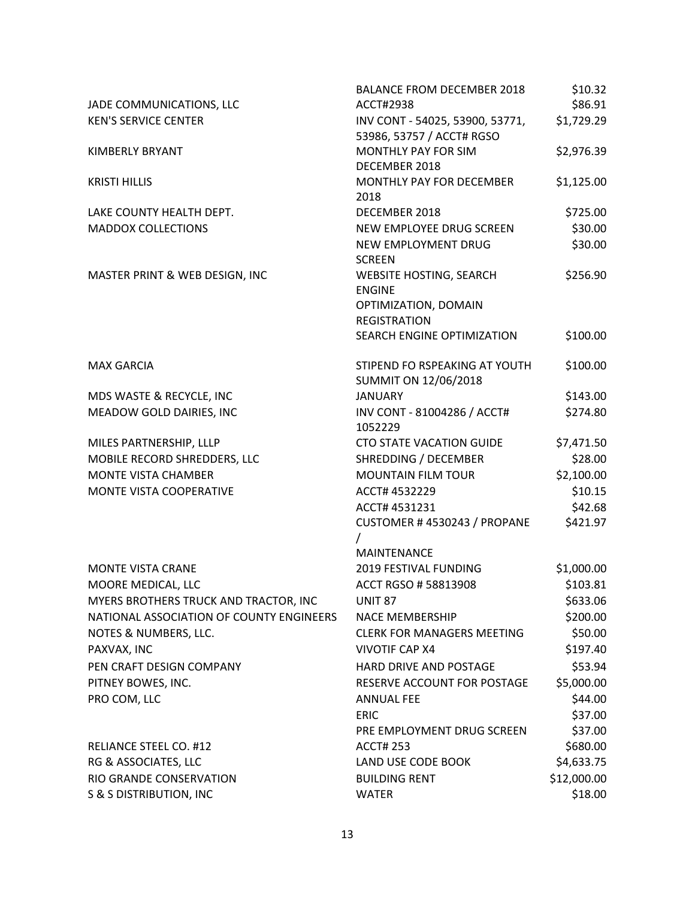|                                                 | <b>BALANCE FROM DECEMBER 2018</b>                            | \$10.32                   |
|-------------------------------------------------|--------------------------------------------------------------|---------------------------|
| JADE COMMUNICATIONS, LLC                        | ACCT#2938                                                    | \$86.91                   |
| <b>KEN'S SERVICE CENTER</b>                     | INV CONT - 54025, 53900, 53771,<br>53986, 53757 / ACCT# RGSO | \$1,729.29                |
| KIMBERLY BRYANT                                 | MONTHLY PAY FOR SIM<br>DECEMBER 2018                         | \$2,976.39                |
| <b>KRISTI HILLIS</b>                            | MONTHLY PAY FOR DECEMBER<br>2018                             | \$1,125.00                |
| LAKE COUNTY HEALTH DEPT.                        | DECEMBER 2018                                                | \$725.00                  |
| <b>MADDOX COLLECTIONS</b>                       | NEW EMPLOYEE DRUG SCREEN                                     | \$30.00                   |
|                                                 | NEW EMPLOYMENT DRUG<br><b>SCREEN</b>                         | \$30.00                   |
| MASTER PRINT & WEB DESIGN, INC                  | <b>WEBSITE HOSTING, SEARCH</b>                               | \$256.90                  |
|                                                 | <b>ENGINE</b>                                                |                           |
|                                                 | OPTIMIZATION, DOMAIN<br><b>REGISTRATION</b>                  |                           |
|                                                 | SEARCH ENGINE OPTIMIZATION                                   | \$100.00                  |
| <b>MAX GARCIA</b>                               | STIPEND FO RSPEAKING AT YOUTH                                | \$100.00                  |
|                                                 | SUMMIT ON 12/06/2018                                         |                           |
| MDS WASTE & RECYCLE, INC                        | <b>JANUARY</b>                                               | \$143.00                  |
| MEADOW GOLD DAIRIES, INC                        | INV CONT - 81004286 / ACCT#<br>1052229                       | \$274.80                  |
| MILES PARTNERSHIP, LLLP                         | <b>CTO STATE VACATION GUIDE</b>                              | \$7,471.50                |
| MOBILE RECORD SHREDDERS, LLC                    | SHREDDING / DECEMBER                                         | \$28.00                   |
| <b>MONTE VISTA CHAMBER</b>                      | <b>MOUNTAIN FILM TOUR</b>                                    | \$2,100.00                |
| MONTE VISTA COOPERATIVE                         | ACCT# 4532229                                                | \$10.15                   |
|                                                 | ACCT# 4531231                                                | \$42.68                   |
|                                                 | CUSTOMER #4530243 / PROPANE<br>$\prime$                      | \$421.97                  |
|                                                 | <b>MAINTENANCE</b>                                           |                           |
| <b>MONTE VISTA CRANE</b>                        | 2019 FESTIVAL FUNDING                                        | \$1,000.00                |
| MOORE MEDICAL, LLC                              | ACCT RGSO #58813908                                          | \$103.81                  |
| MYERS BROTHERS TRUCK AND TRACTOR, INC           | <b>UNIT 87</b>                                               | \$633.06                  |
| NATIONAL ASSOCIATION OF COUNTY ENGINEERS        | <b>NACE MEMBERSHIP</b>                                       | \$200.00                  |
| NOTES & NUMBERS, LLC.                           | <b>CLERK FOR MANAGERS MEETING</b>                            | \$50.00                   |
| PAXVAX, INC                                     | <b>VIVOTIF CAP X4</b>                                        | \$197.40                  |
| PEN CRAFT DESIGN COMPANY                        | HARD DRIVE AND POSTAGE                                       | \$53.94                   |
| PITNEY BOWES, INC.                              | RESERVE ACCOUNT FOR POSTAGE                                  | \$5,000.00                |
| PRO COM, LLC                                    | <b>ANNUAL FEE</b>                                            | \$44.00                   |
|                                                 | <b>ERIC</b>                                                  | \$37.00                   |
|                                                 | PRE EMPLOYMENT DRUG SCREEN                                   | \$37.00                   |
| RELIANCE STEEL CO. #12                          | <b>ACCT# 253</b><br>LAND USE CODE BOOK                       | \$680.00                  |
| RG & ASSOCIATES, LLC<br>RIO GRANDE CONSERVATION | <b>BUILDING RENT</b>                                         | \$4,633.75<br>\$12,000.00 |
| <b>S &amp; S DISTRIBUTION, INC</b>              | <b>WATER</b>                                                 | \$18.00                   |
|                                                 |                                                              |                           |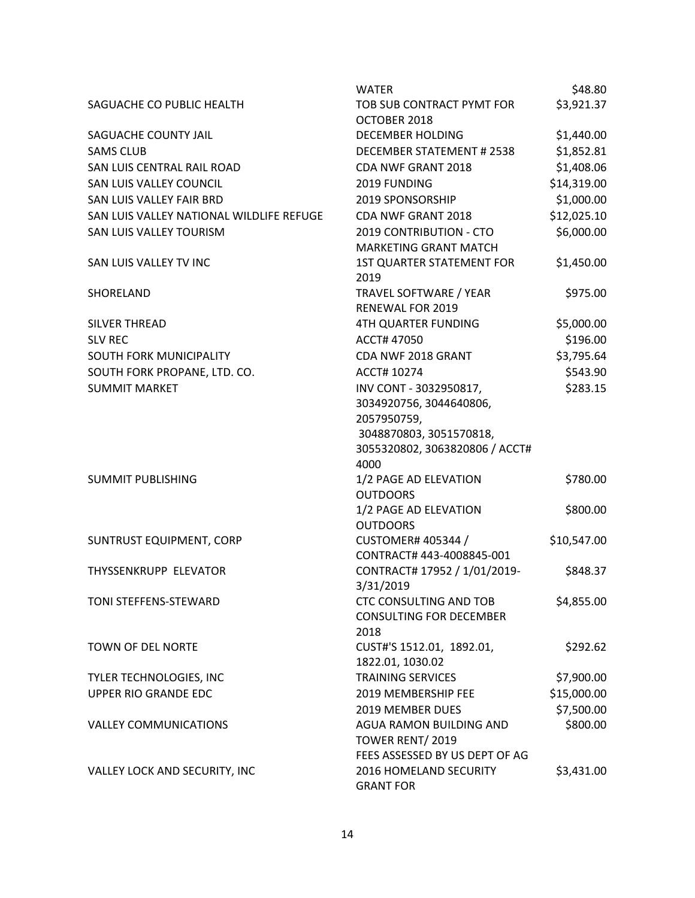|                                          | <b>WATER</b>                                                                                                                          | \$48.80     |
|------------------------------------------|---------------------------------------------------------------------------------------------------------------------------------------|-------------|
| SAGUACHE CO PUBLIC HEALTH                | TOB SUB CONTRACT PYMT FOR<br>OCTOBER 2018                                                                                             | \$3,921.37  |
| SAGUACHE COUNTY JAIL                     | DECEMBER HOLDING                                                                                                                      | \$1,440.00  |
| <b>SAMS CLUB</b>                         | DECEMBER STATEMENT # 2538                                                                                                             | \$1,852.81  |
| SAN LUIS CENTRAL RAIL ROAD               | CDA NWF GRANT 2018                                                                                                                    | \$1,408.06  |
| SAN LUIS VALLEY COUNCIL                  | 2019 FUNDING                                                                                                                          | \$14,319.00 |
| SAN LUIS VALLEY FAIR BRD                 | 2019 SPONSORSHIP                                                                                                                      | \$1,000.00  |
| SAN LUIS VALLEY NATIONAL WILDLIFE REFUGE | CDA NWF GRANT 2018                                                                                                                    | \$12,025.10 |
| SAN LUIS VALLEY TOURISM                  | 2019 CONTRIBUTION - CTO<br><b>MARKETING GRANT MATCH</b>                                                                               | \$6,000.00  |
| SAN LUIS VALLEY TV INC                   | <b>1ST QUARTER STATEMENT FOR</b><br>2019                                                                                              | \$1,450.00  |
| SHORELAND                                | TRAVEL SOFTWARE / YEAR<br>RENEWAL FOR 2019                                                                                            | \$975.00    |
| <b>SILVER THREAD</b>                     | <b>4TH QUARTER FUNDING</b>                                                                                                            | \$5,000.00  |
| <b>SLV REC</b>                           | ACCT# 47050                                                                                                                           | \$196.00    |
| SOUTH FORK MUNICIPALITY                  | CDA NWF 2018 GRANT                                                                                                                    | \$3,795.64  |
| SOUTH FORK PROPANE, LTD. CO.             | ACCT# 10274                                                                                                                           | \$543.90    |
| <b>SUMMIT MARKET</b>                     | INV CONT - 3032950817,<br>3034920756, 3044640806,<br>2057950759,<br>3048870803, 3051570818,<br>3055320802, 3063820806 / ACCT#<br>4000 | \$283.15    |
| <b>SUMMIT PUBLISHING</b>                 | 1/2 PAGE AD ELEVATION<br><b>OUTDOORS</b>                                                                                              | \$780.00    |
|                                          | 1/2 PAGE AD ELEVATION<br><b>OUTDOORS</b>                                                                                              | \$800.00    |
| <b>SUNTRUST EQUIPMENT, CORP</b>          | <b>CUSTOMER# 405344 /</b><br>CONTRACT# 443-4008845-001                                                                                | \$10,547.00 |
| THYSSENKRUPP ELEVATOR                    | CONTRACT# 17952 / 1/01/2019-<br>3/31/2019                                                                                             | \$848.37    |
| TONI STEFFENS-STEWARD                    | <b>CTC CONSULTING AND TOB</b><br><b>CONSULTING FOR DECEMBER</b><br>2018                                                               | \$4,855.00  |
| TOWN OF DEL NORTE                        | CUST#'S 1512.01, 1892.01,<br>1822.01, 1030.02                                                                                         | \$292.62    |
| TYLER TECHNOLOGIES, INC                  | <b>TRAINING SERVICES</b>                                                                                                              | \$7,900.00  |
| UPPER RIO GRANDE EDC                     | 2019 MEMBERSHIP FEE                                                                                                                   | \$15,000.00 |
|                                          | <b>2019 MEMBER DUES</b>                                                                                                               | \$7,500.00  |
| <b>VALLEY COMMUNICATIONS</b>             | AGUA RAMON BUILDING AND<br>TOWER RENT/2019                                                                                            | \$800.00    |
| VALLEY LOCK AND SECURITY, INC            | FEES ASSESSED BY US DEPT OF AG<br>2016 HOMELAND SECURITY<br><b>GRANT FOR</b>                                                          | \$3,431.00  |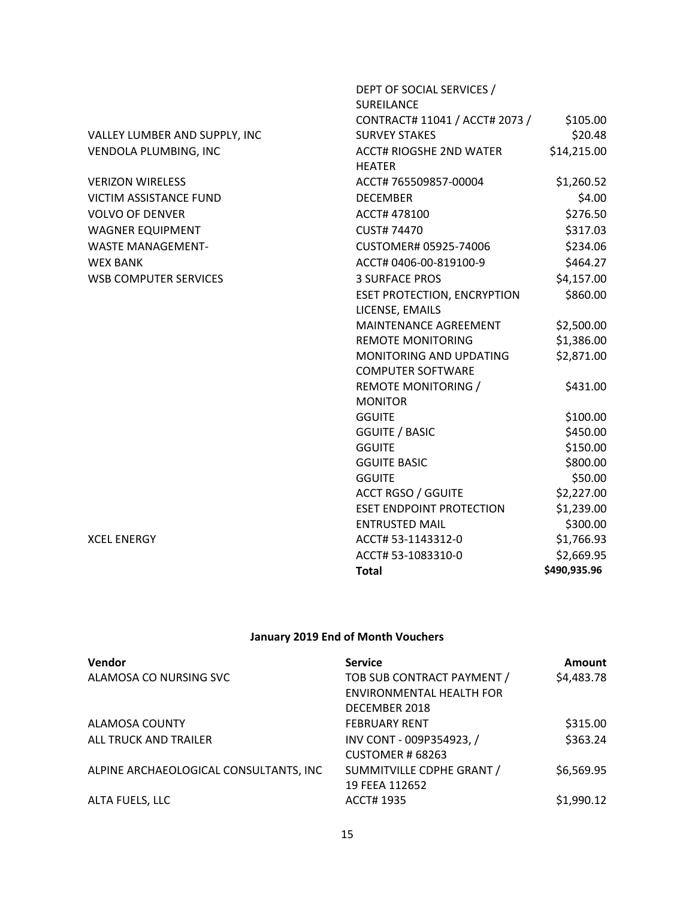|                               | DEPT OF SOCIAL SERVICES /          |              |
|-------------------------------|------------------------------------|--------------|
|                               | SUREILANCE                         |              |
|                               | CONTRACT# 11041 / ACCT# 2073 /     | \$105.00     |
| VALLEY LUMBER AND SUPPLY, INC | <b>SURVEY STAKES</b>               | \$20.48      |
| VENDOLA PLUMBING, INC         | <b>ACCT# RIOGSHE 2ND WATER</b>     | \$14,215.00  |
|                               | <b>HEATER</b>                      |              |
| <b>VERIZON WIRELESS</b>       | ACCT# 765509857-00004              | \$1,260.52   |
| VICTIM ASSISTANCE FUND        | <b>DECEMBER</b>                    | \$4.00       |
| <b>VOLVO OF DENVER</b>        | ACCT# 478100                       | \$276.50     |
| <b>WAGNER EQUIPMENT</b>       | <b>CUST# 74470</b>                 | \$317.03     |
| <b>WASTE MANAGEMENT-</b>      | CUSTOMER# 05925-74006              | \$234.06     |
| <b>WEX BANK</b>               | ACCT# 0406-00-819100-9             | \$464.27     |
| <b>WSB COMPUTER SERVICES</b>  | <b>3 SURFACE PROS</b>              | \$4,157.00   |
|                               | <b>ESET PROTECTION, ENCRYPTION</b> | \$860.00     |
|                               | LICENSE, EMAILS                    |              |
|                               | MAINTENANCE AGREEMENT              | \$2,500.00   |
|                               | <b>REMOTE MONITORING</b>           | \$1,386.00   |
|                               | MONITORING AND UPDATING            | \$2,871.00   |
|                               | <b>COMPUTER SOFTWARE</b>           |              |
|                               | <b>REMOTE MONITORING /</b>         | \$431.00     |
|                               | <b>MONITOR</b>                     |              |
|                               | <b>GGUITE</b>                      | \$100.00     |
|                               | <b>GGUITE / BASIC</b>              | \$450.00     |
|                               | <b>GGUITE</b>                      | \$150.00     |
|                               | <b>GGUITE BASIC</b>                | \$800.00     |
|                               | <b>GGUITE</b>                      | \$50.00      |
|                               | <b>ACCT RGSO / GGUITE</b>          | \$2,227.00   |
|                               | <b>ESET ENDPOINT PROTECTION</b>    | \$1,239.00   |
|                               | <b>ENTRUSTED MAIL</b>              | \$300.00     |
| <b>XCEL ENERGY</b>            | ACCT# 53-1143312-0                 | \$1,766.93   |
|                               | ACCT# 53-1083310-0                 | \$2,669.95   |
|                               | <b>Total</b>                       | \$490,935.96 |

# **January 2019 End of Month Vouchers**

| Vendor                                 | <b>Service</b>             | Amount     |
|----------------------------------------|----------------------------|------------|
| ALAMOSA CO NURSING SVC                 | TOB SUB CONTRACT PAYMENT / | \$4,483.78 |
|                                        | ENVIRONMENTAL HEALTH FOR   |            |
|                                        | DECEMBER 2018              |            |
| ALAMOSA COUNTY                         | <b>FEBRUARY RENT</b>       | \$315.00   |
| ALL TRUCK AND TRAILER                  | INV CONT - 009P354923, /   | \$363.24   |
|                                        | CUSTOMER # 68263           |            |
| ALPINE ARCHAEOLOGICAL CONSULTANTS, INC | SUMMITVILLE CDPHE GRANT /  | \$6,569.95 |
|                                        | 19 FEEA 112652             |            |
| ALTA FUELS, LLC                        | ACCT# 1935                 | \$1,990.12 |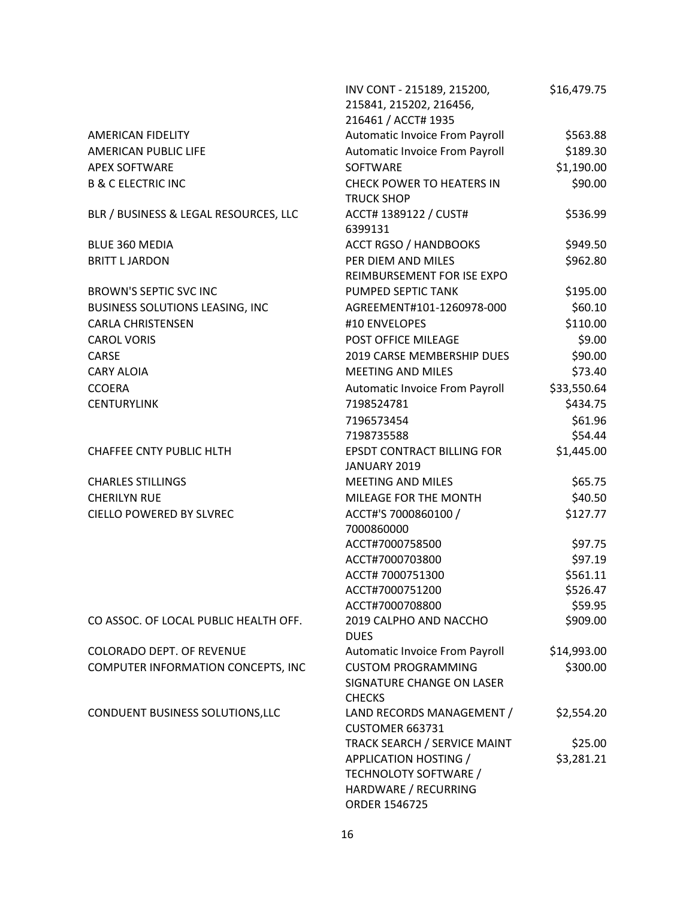|                                       | INV CONT - 215189, 215200,<br>215841, 215202, 216456,                                   | \$16,479.75          |
|---------------------------------------|-----------------------------------------------------------------------------------------|----------------------|
|                                       | 216461 / ACCT# 1935                                                                     |                      |
| AMERICAN FIDELITY                     | Automatic Invoice From Payroll                                                          | \$563.88<br>\$189.30 |
| AMERICAN PUBLIC LIFE                  | Automatic Invoice From Payroll<br><b>SOFTWARE</b>                                       |                      |
| <b>APEX SOFTWARE</b>                  |                                                                                         | \$1,190.00           |
| <b>B &amp; C ELECTRIC INC</b>         | <b>CHECK POWER TO HEATERS IN</b><br><b>TRUCK SHOP</b>                                   | \$90.00              |
| BLR / BUSINESS & LEGAL RESOURCES, LLC | ACCT# 1389122 / CUST#<br>6399131                                                        | \$536.99             |
| BLUE 360 MEDIA                        | <b>ACCT RGSO / HANDBOOKS</b>                                                            | \$949.50             |
| <b>BRITT L JARDON</b>                 | PER DIEM AND MILES<br>REIMBURSEMENT FOR ISE EXPO                                        | \$962.80             |
| BROWN'S SEPTIC SVC INC                | PUMPED SEPTIC TANK                                                                      | \$195.00             |
| BUSINESS SOLUTIONS LEASING, INC       | AGREEMENT#101-1260978-000                                                               | \$60.10              |
| <b>CARLA CHRISTENSEN</b>              | #10 ENVELOPES                                                                           | \$110.00             |
| <b>CAROL VORIS</b>                    | POST OFFICE MILEAGE                                                                     | \$9.00               |
| CARSE                                 | 2019 CARSE MEMBERSHIP DUES                                                              | \$90.00              |
| <b>CARY ALOIA</b>                     | <b>MEETING AND MILES</b>                                                                | \$73.40              |
| <b>CCOERA</b>                         | Automatic Invoice From Payroll                                                          | \$33,550.64          |
| <b>CENTURYLINK</b>                    | 7198524781                                                                              | \$434.75             |
|                                       | 7196573454                                                                              | \$61.96              |
|                                       | 7198735588                                                                              | \$54.44              |
| <b>CHAFFEE CNTY PUBLIC HLTH</b>       | <b>EPSDT CONTRACT BILLING FOR</b><br>JANUARY 2019                                       | \$1,445.00           |
| <b>CHARLES STILLINGS</b>              | <b>MEETING AND MILES</b>                                                                | \$65.75              |
| <b>CHERILYN RUE</b>                   | MILEAGE FOR THE MONTH                                                                   | \$40.50              |
| CIELLO POWERED BY SLVREC              | ACCT#'S 7000860100 /<br>7000860000                                                      | \$127.77             |
|                                       | ACCT#7000758500                                                                         | \$97.75              |
|                                       | ACCT#7000703800                                                                         | \$97.19              |
|                                       | ACCT# 7000751300                                                                        | \$561.11             |
|                                       | ACCT#7000751200                                                                         | \$526.47             |
|                                       | ACCT#7000708800                                                                         | \$59.95              |
| CO ASSOC. OF LOCAL PUBLIC HEALTH OFF. | 2019 CALPHO AND NACCHO<br><b>DUES</b>                                                   | \$909.00             |
| <b>COLORADO DEPT. OF REVENUE</b>      | Automatic Invoice From Payroll                                                          | \$14,993.00          |
| COMPUTER INFORMATION CONCEPTS, INC    | <b>CUSTOM PROGRAMMING</b><br>SIGNATURE CHANGE ON LASER<br><b>CHECKS</b>                 | \$300.00             |
| CONDUENT BUSINESS SOLUTIONS, LLC      | LAND RECORDS MANAGEMENT /<br>CUSTOMER 663731                                            | \$2,554.20           |
|                                       | TRACK SEARCH / SERVICE MAINT                                                            | \$25.00              |
|                                       | APPLICATION HOSTING /<br>TECHNOLOTY SOFTWARE /<br>HARDWARE / RECURRING<br>ORDER 1546725 | \$3,281.21           |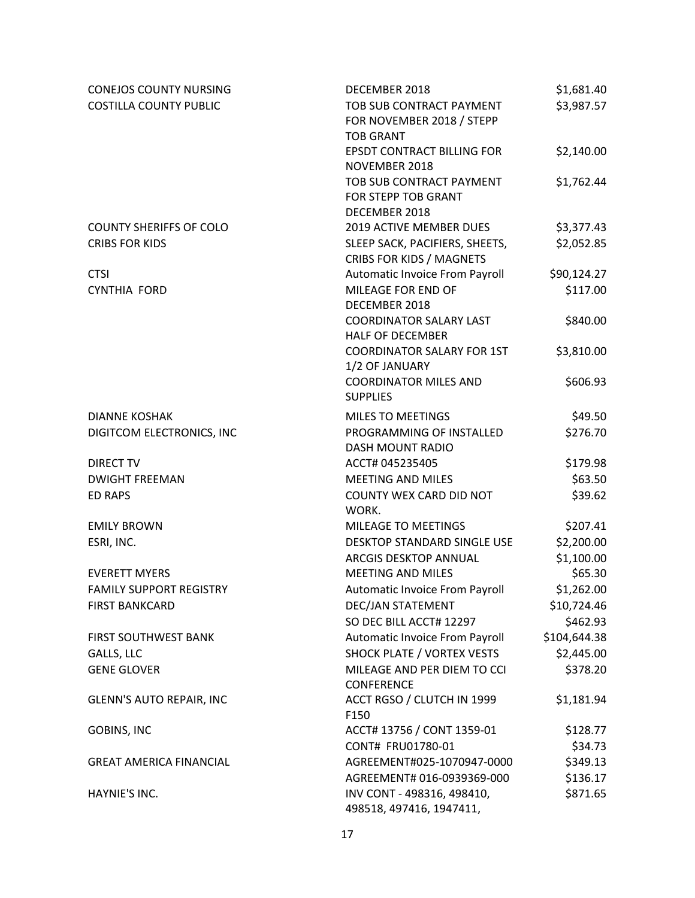| <b>CONEJOS COUNTY NURSING</b>   | DECEMBER 2018                                                             | \$1,681.40   |
|---------------------------------|---------------------------------------------------------------------------|--------------|
| <b>COSTILLA COUNTY PUBLIC</b>   | TOB SUB CONTRACT PAYMENT<br>FOR NOVEMBER 2018 / STEPP<br><b>TOB GRANT</b> | \$3,987.57   |
|                                 | <b>EPSDT CONTRACT BILLING FOR</b><br>NOVEMBER 2018                        | \$2,140.00   |
|                                 | TOB SUB CONTRACT PAYMENT<br>FOR STEPP TOB GRANT<br>DECEMBER 2018          | \$1,762.44   |
| <b>COUNTY SHERIFFS OF COLO</b>  | 2019 ACTIVE MEMBER DUES                                                   | \$3,377.43   |
| <b>CRIBS FOR KIDS</b>           | SLEEP SACK, PACIFIERS, SHEETS,<br><b>CRIBS FOR KIDS / MAGNETS</b>         | \$2,052.85   |
| <b>CTSI</b>                     | Automatic Invoice From Payroll                                            | \$90,124.27  |
| <b>CYNTHIA FORD</b>             | MILEAGE FOR END OF<br>DECEMBER 2018                                       | \$117.00     |
|                                 | <b>COORDINATOR SALARY LAST</b><br><b>HALF OF DECEMBER</b>                 | \$840.00     |
|                                 | <b>COORDINATOR SALARY FOR 1ST</b><br>1/2 OF JANUARY                       | \$3,810.00   |
|                                 | <b>COORDINATOR MILES AND</b><br><b>SUPPLIES</b>                           | \$606.93     |
| <b>DIANNE KOSHAK</b>            | <b>MILES TO MEETINGS</b>                                                  | \$49.50      |
| DIGITCOM ELECTRONICS, INC       | PROGRAMMING OF INSTALLED<br>DASH MOUNT RADIO                              | \$276.70     |
| <b>DIRECT TV</b>                | ACCT# 045235405                                                           | \$179.98     |
| <b>DWIGHT FREEMAN</b>           | <b>MEETING AND MILES</b>                                                  | \$63.50      |
| <b>ED RAPS</b>                  | COUNTY WEX CARD DID NOT<br>WORK.                                          | \$39.62      |
| <b>EMILY BROWN</b>              | MILEAGE TO MEETINGS                                                       | \$207.41     |
| ESRI, INC.                      | DESKTOP STANDARD SINGLE USE                                               | \$2,200.00   |
|                                 | ARCGIS DESKTOP ANNUAL                                                     | \$1,100.00   |
| <b>EVERETT MYERS</b>            | <b>MEETING AND MILES</b>                                                  | \$65.30      |
| <b>FAMILY SUPPORT REGISTRY</b>  | Automatic Invoice From Payroll                                            | \$1,262.00   |
| <b>FIRST BANKCARD</b>           | DEC/JAN STATEMENT                                                         | \$10,724.46  |
|                                 | SO DEC BILL ACCT# 12297                                                   | \$462.93     |
| FIRST SOUTHWEST BANK            | Automatic Invoice From Payroll                                            | \$104,644.38 |
| GALLS, LLC                      | SHOCK PLATE / VORTEX VESTS                                                | \$2,445.00   |
| <b>GENE GLOVER</b>              | MILEAGE AND PER DIEM TO CCI<br>CONFERENCE                                 | \$378.20     |
| <b>GLENN'S AUTO REPAIR, INC</b> | ACCT RGSO / CLUTCH IN 1999<br>F150                                        | \$1,181.94   |
| <b>GOBINS, INC</b>              | ACCT# 13756 / CONT 1359-01                                                | \$128.77     |
|                                 | CONT# FRU01780-01                                                         | \$34.73      |
| <b>GREAT AMERICA FINANCIAL</b>  | AGREEMENT#025-1070947-0000                                                | \$349.13     |
|                                 | AGREEMENT# 016-0939369-000                                                | \$136.17     |
| HAYNIE'S INC.                   | INV CONT - 498316, 498410,<br>498518, 497416, 1947411,                    | \$871.65     |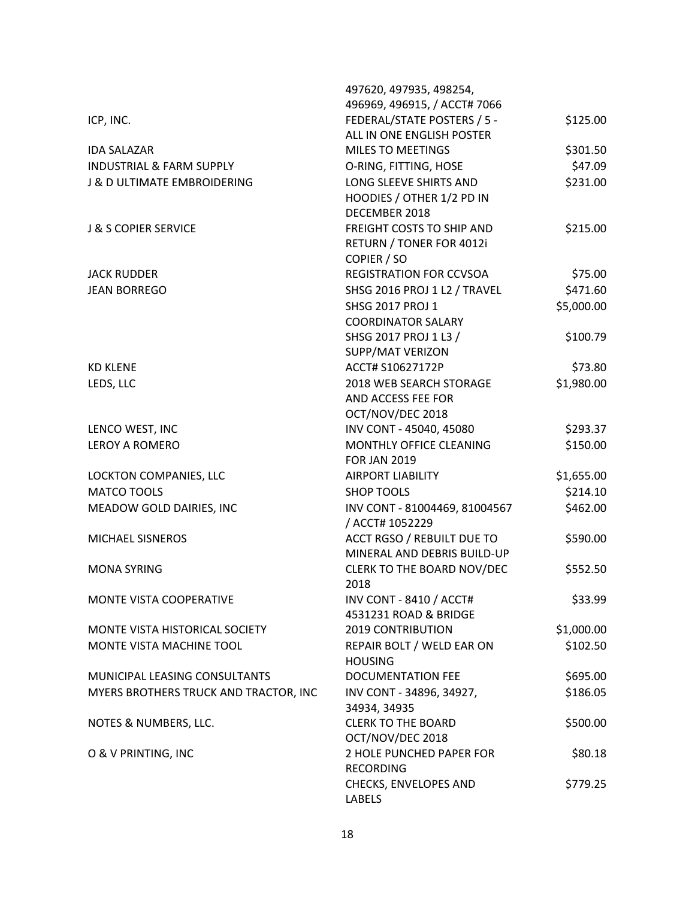|                                        | 497620, 497935, 498254,                                 |            |
|----------------------------------------|---------------------------------------------------------|------------|
|                                        | 496969, 496915, / ACCT# 7066                            |            |
| ICP, INC.                              | FEDERAL/STATE POSTERS / 5 -                             | \$125.00   |
|                                        | ALL IN ONE ENGLISH POSTER                               |            |
| <b>IDA SALAZAR</b>                     | <b>MILES TO MEETINGS</b>                                | \$301.50   |
| <b>INDUSTRIAL &amp; FARM SUPPLY</b>    | O-RING, FITTING, HOSE                                   | \$47.09    |
| <b>J &amp; D ULTIMATE EMBROIDERING</b> | LONG SLEEVE SHIRTS AND                                  | \$231.00   |
|                                        | HOODIES / OTHER 1/2 PD IN                               |            |
|                                        | DECEMBER 2018                                           |            |
| <b>J &amp; S COPIER SERVICE</b>        | <b>FREIGHT COSTS TO SHIP AND</b>                        | \$215.00   |
|                                        | RETURN / TONER FOR 4012i                                |            |
|                                        | COPIER / SO<br><b>REGISTRATION FOR CCVSOA</b>           |            |
| <b>JACK RUDDER</b>                     |                                                         | \$75.00    |
| <b>JEAN BORREGO</b>                    | SHSG 2016 PROJ 1 L2 / TRAVEL<br><b>SHSG 2017 PROJ 1</b> | \$471.60   |
|                                        | <b>COORDINATOR SALARY</b>                               | \$5,000.00 |
|                                        | SHSG 2017 PROJ 1 L3 /                                   | \$100.79   |
|                                        | SUPP/MAT VERIZON                                        |            |
| <b>KD KLENE</b>                        | ACCT# S10627172P                                        | \$73.80    |
| LEDS, LLC                              | 2018 WEB SEARCH STORAGE                                 | \$1,980.00 |
|                                        | AND ACCESS FEE FOR                                      |            |
|                                        | OCT/NOV/DEC 2018                                        |            |
| LENCO WEST, INC                        | INV CONT - 45040, 45080                                 | \$293.37   |
| <b>LEROY A ROMERO</b>                  | MONTHLY OFFICE CLEANING                                 | \$150.00   |
|                                        | <b>FOR JAN 2019</b>                                     |            |
| LOCKTON COMPANIES, LLC                 | <b>AIRPORT LIABILITY</b>                                | \$1,655.00 |
| <b>MATCO TOOLS</b>                     | <b>SHOP TOOLS</b>                                       | \$214.10   |
| MEADOW GOLD DAIRIES, INC               | INV CONT - 81004469, 81004567                           | \$462.00   |
|                                        | / ACCT# 1052229                                         |            |
| MICHAEL SISNEROS                       | ACCT RGSO / REBUILT DUE TO                              | \$590.00   |
|                                        | MINERAL AND DEBRIS BUILD-UP                             |            |
| <b>MONA SYRING</b>                     | CLERK TO THE BOARD NOV/DEC                              | \$552.50   |
|                                        | 2018                                                    |            |
| MONTE VISTA COOPERATIVE                | <b>INV CONT - 8410 / ACCT#</b>                          | \$33.99    |
|                                        | 4531231 ROAD & BRIDGE                                   |            |
| MONTE VISTA HISTORICAL SOCIETY         | <b>2019 CONTRIBUTION</b>                                | \$1,000.00 |
| MONTE VISTA MACHINE TOOL               | REPAIR BOLT / WELD EAR ON<br><b>HOUSING</b>             | \$102.50   |
| MUNICIPAL LEASING CONSULTANTS          | <b>DOCUMENTATION FEE</b>                                | \$695.00   |
| MYERS BROTHERS TRUCK AND TRACTOR, INC  | INV CONT - 34896, 34927,                                | \$186.05   |
|                                        | 34934, 34935                                            |            |
| NOTES & NUMBERS, LLC.                  | <b>CLERK TO THE BOARD</b>                               | \$500.00   |
|                                        | OCT/NOV/DEC 2018                                        |            |
| O & V PRINTING, INC                    | 2 HOLE PUNCHED PAPER FOR                                | \$80.18    |
|                                        | <b>RECORDING</b>                                        |            |
|                                        | CHECKS, ENVELOPES AND                                   | \$779.25   |
|                                        | <b>LABELS</b>                                           |            |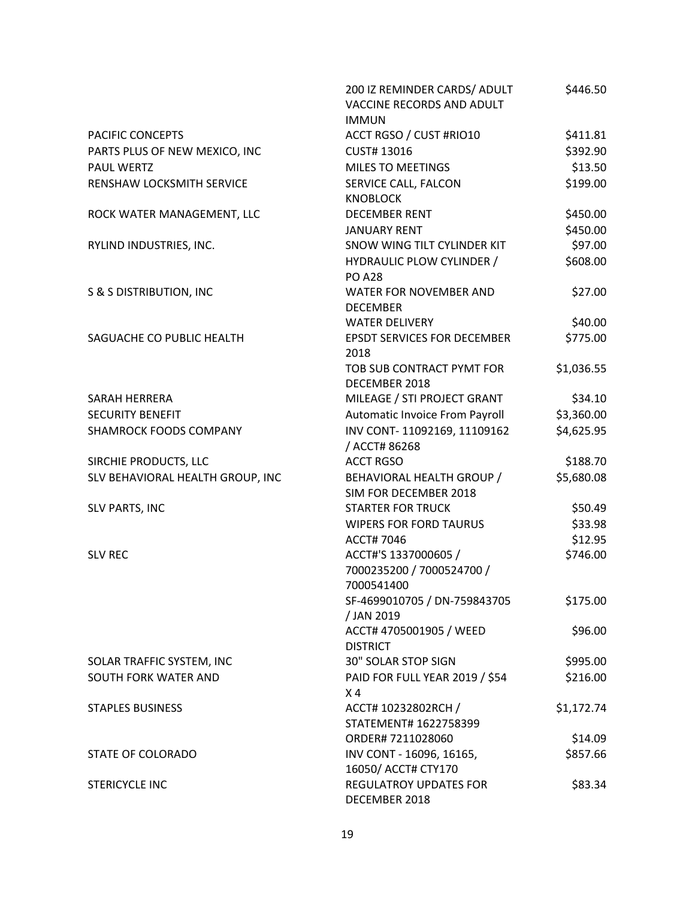|                                    | 200 IZ REMINDER CARDS/ ADULT<br>VACCINE RECORDS AND ADULT<br><b>IMMUN</b> | \$446.50   |
|------------------------------------|---------------------------------------------------------------------------|------------|
| PACIFIC CONCEPTS                   | ACCT RGSO / CUST #RIO10                                                   | \$411.81   |
| PARTS PLUS OF NEW MEXICO, INC      | CUST# 13016                                                               | \$392.90   |
| <b>PAUL WERTZ</b>                  | <b>MILES TO MEETINGS</b>                                                  | \$13.50    |
| RENSHAW LOCKSMITH SERVICE          | SERVICE CALL, FALCON                                                      | \$199.00   |
|                                    | <b>KNOBLOCK</b>                                                           |            |
| ROCK WATER MANAGEMENT, LLC         | <b>DECEMBER RENT</b>                                                      | \$450.00   |
|                                    | <b>JANUARY RENT</b>                                                       | \$450.00   |
| RYLIND INDUSTRIES, INC.            | SNOW WING TILT CYLINDER KIT                                               | \$97.00    |
|                                    | <b>HYDRAULIC PLOW CYLINDER /</b><br><b>PO A28</b>                         | \$608.00   |
| <b>S &amp; S DISTRIBUTION, INC</b> | WATER FOR NOVEMBER AND<br><b>DECEMBER</b>                                 | \$27.00    |
|                                    | <b>WATER DELIVERY</b>                                                     | \$40.00    |
| SAGUACHE CO PUBLIC HEALTH          | <b>EPSDT SERVICES FOR DECEMBER</b><br>2018                                | \$775.00   |
|                                    | TOB SUB CONTRACT PYMT FOR<br>DECEMBER 2018                                | \$1,036.55 |
| SARAH HERRERA                      | MILEAGE / STI PROJECT GRANT                                               | \$34.10    |
| <b>SECURITY BENEFIT</b>            | Automatic Invoice From Payroll                                            | \$3,360.00 |
| SHAMROCK FOODS COMPANY             | INV CONT-11092169, 11109162                                               | \$4,625.95 |
|                                    | / ACCT# 86268                                                             |            |
| SIRCHIE PRODUCTS, LLC              | <b>ACCT RGSO</b>                                                          | \$188.70   |
| SLV BEHAVIORAL HEALTH GROUP, INC   | BEHAVIORAL HEALTH GROUP /<br>SIM FOR DECEMBER 2018                        | \$5,680.08 |
| SLV PARTS, INC                     | <b>STARTER FOR TRUCK</b>                                                  | \$50.49    |
|                                    | <b>WIPERS FOR FORD TAURUS</b>                                             | \$33.98    |
|                                    | ACCT# 7046                                                                | \$12.95    |
| <b>SLV REC</b>                     | ACCT#'S 1337000605 /<br>7000235200 / 7000524700 /<br>7000541400           | \$746.00   |
|                                    | SF-4699010705 / DN-759843705<br>/ JAN 2019                                | \$175.00   |
|                                    | ACCT# 4705001905 / WEED<br><b>DISTRICT</b>                                | \$96.00    |
| SOLAR TRAFFIC SYSTEM, INC          | 30" SOLAR STOP SIGN                                                       | \$995.00   |
| SOUTH FORK WATER AND               | PAID FOR FULL YEAR 2019 / \$54<br>X <sub>4</sub>                          | \$216.00   |
| <b>STAPLES BUSINESS</b>            | ACCT# 10232802RCH /<br>STATEMENT# 1622758399                              | \$1,172.74 |
|                                    | ORDER# 7211028060                                                         | \$14.09    |
| STATE OF COLORADO                  | INV CONT - 16096, 16165,<br>16050/ ACCT# CTY170                           | \$857.66   |
| <b>STERICYCLE INC</b>              | <b>REGULATROY UPDATES FOR</b><br>DECEMBER 2018                            | \$83.34    |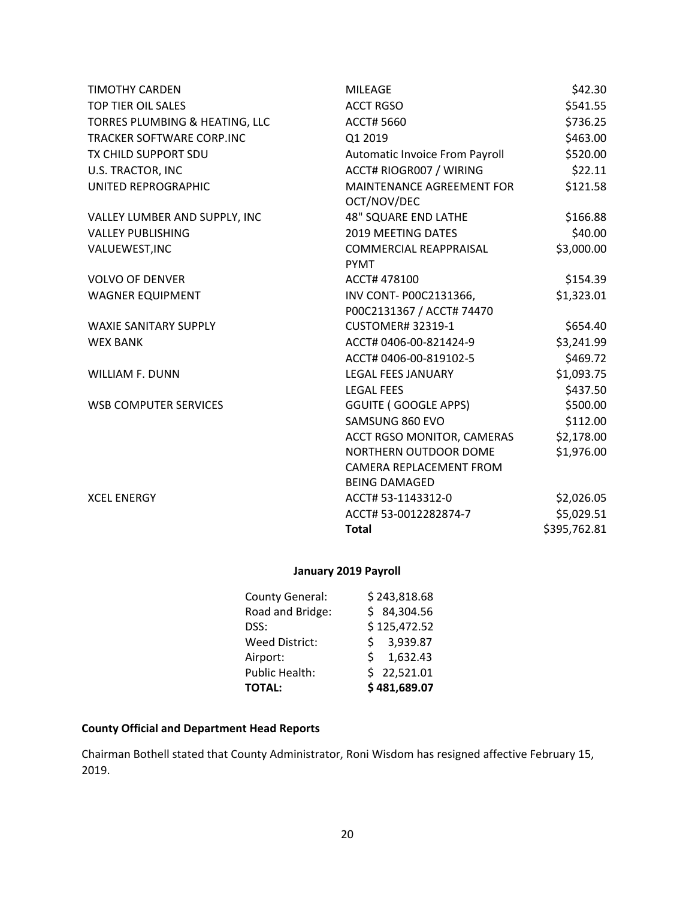| <b>TIMOTHY CARDEN</b>            | <b>MILEAGE</b>                                      | \$42.30      |
|----------------------------------|-----------------------------------------------------|--------------|
| <b>TOP TIER OIL SALES</b>        | <b>ACCT RGSO</b>                                    | \$541.55     |
| TORRES PLUMBING & HEATING, LLC   | <b>ACCT# 5660</b>                                   | \$736.25     |
| <b>TRACKER SOFTWARE CORP.INC</b> | Q1 2019                                             | \$463.00     |
| TX CHILD SUPPORT SDU             | Automatic Invoice From Payroll                      | \$520.00     |
| U.S. TRACTOR, INC                | ACCT# RIOGR007 / WIRING                             | \$22.11      |
| UNITED REPROGRAPHIC              | MAINTENANCE AGREEMENT FOR<br>OCT/NOV/DEC            | \$121.58     |
| VALLEY LUMBER AND SUPPLY, INC    | <b>48" SQUARE END LATHE</b>                         | \$166.88     |
| <b>VALLEY PUBLISHING</b>         | 2019 MEETING DATES                                  | \$40.00      |
| VALUEWEST, INC                   | <b>COMMERCIAL REAPPRAISAL</b><br><b>PYMT</b>        | \$3,000.00   |
| <b>VOLVO OF DENVER</b>           | ACCT# 478100                                        | \$154.39     |
| <b>WAGNER EQUIPMENT</b>          | INV CONT- P00C2131366,<br>P00C2131367 / ACCT# 74470 | \$1,323.01   |
| <b>WAXIE SANITARY SUPPLY</b>     | <b>CUSTOMER# 32319-1</b>                            | \$654.40     |
| <b>WEX BANK</b>                  | ACCT# 0406-00-821424-9                              | \$3,241.99   |
|                                  | ACCT# 0406-00-819102-5                              | \$469.72     |
| <b>WILLIAM F. DUNN</b>           | LEGAL FEES JANUARY                                  | \$1,093.75   |
|                                  | <b>LEGAL FEES</b>                                   | \$437.50     |
| <b>WSB COMPUTER SERVICES</b>     | <b>GGUITE (GOOGLE APPS)</b>                         | \$500.00     |
|                                  | SAMSUNG 860 EVO                                     | \$112.00     |
|                                  | ACCT RGSO MONITOR, CAMERAS                          | \$2,178.00   |
|                                  | NORTHERN OUTDOOR DOME                               | \$1,976.00   |
|                                  | CAMERA REPLACEMENT FROM                             |              |
|                                  | <b>BEING DAMAGED</b>                                |              |
| <b>XCEL ENERGY</b>               | ACCT# 53-1143312-0                                  | \$2,026.05   |
|                                  | ACCT# 53-0012282874-7                               | \$5,029.51   |
|                                  | <b>Total</b>                                        | \$395,762.81 |

# **January 2019 Payroll**

| <b>TOTAL:</b>         | \$481,689.07 |
|-----------------------|--------------|
| <b>Public Health:</b> | \$22,521.01  |
| Airport:              | \$1,632.43   |
| <b>Weed District:</b> | \$3,939.87   |
| DSS:                  | \$125,472.52 |
| Road and Bridge:      | \$84,304.56  |
| County General:       | \$243,818.68 |

# **County Official and Department Head Reports**

Chairman Bothell stated that County Administrator, Roni Wisdom has resigned affective February 15, 2019.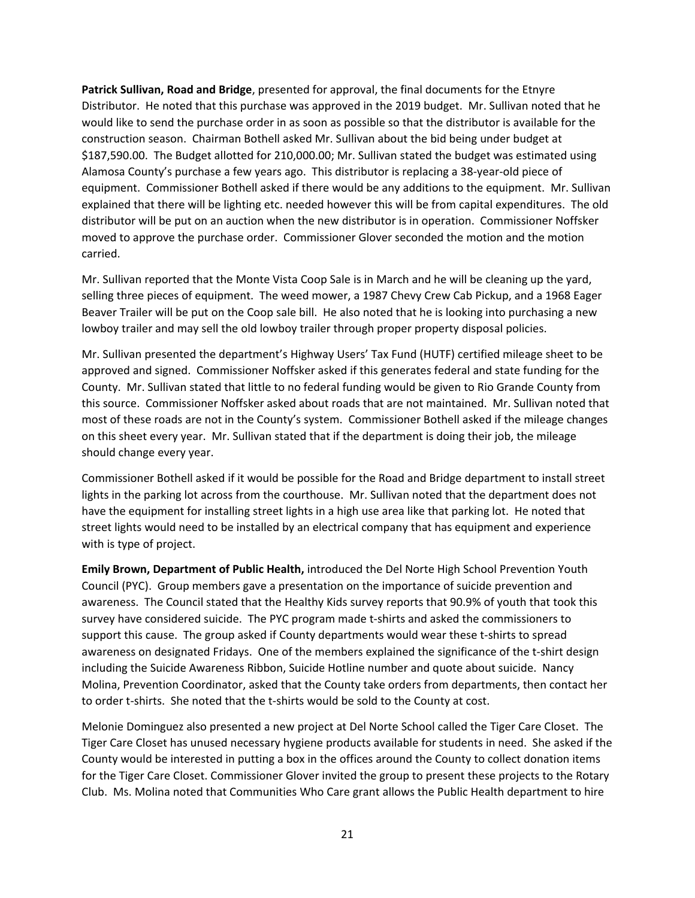**Patrick Sullivan, Road and Bridge**, presented for approval, the final documents for the Etnyre Distributor. He noted that this purchase was approved in the 2019 budget. Mr. Sullivan noted that he would like to send the purchase order in as soon as possible so that the distributor is available for the construction season. Chairman Bothell asked Mr. Sullivan about the bid being under budget at \$187,590.00. The Budget allotted for 210,000.00; Mr. Sullivan stated the budget was estimated using Alamosa County's purchase a few years ago. This distributor is replacing a 38-year-old piece of equipment. Commissioner Bothell asked if there would be any additions to the equipment. Mr. Sullivan explained that there will be lighting etc. needed however this will be from capital expenditures. The old distributor will be put on an auction when the new distributor is in operation. Commissioner Noffsker moved to approve the purchase order. Commissioner Glover seconded the motion and the motion carried.

Mr. Sullivan reported that the Monte Vista Coop Sale is in March and he will be cleaning up the yard, selling three pieces of equipment. The weed mower, a 1987 Chevy Crew Cab Pickup, and a 1968 Eager Beaver Trailer will be put on the Coop sale bill. He also noted that he is looking into purchasing a new lowboy trailer and may sell the old lowboy trailer through proper property disposal policies.

Mr. Sullivan presented the department's Highway Users' Tax Fund (HUTF) certified mileage sheet to be approved and signed. Commissioner Noffsker asked if this generates federal and state funding for the County. Mr. Sullivan stated that little to no federal funding would be given to Rio Grande County from this source. Commissioner Noffsker asked about roads that are not maintained. Mr. Sullivan noted that most of these roads are not in the County's system. Commissioner Bothell asked if the mileage changes on this sheet every year. Mr. Sullivan stated that if the department is doing their job, the mileage should change every year.

Commissioner Bothell asked if it would be possible for the Road and Bridge department to install street lights in the parking lot across from the courthouse. Mr. Sullivan noted that the department does not have the equipment for installing street lights in a high use area like that parking lot. He noted that street lights would need to be installed by an electrical company that has equipment and experience with is type of project.

**Emily Brown, Department of Public Health,** introduced the Del Norte High School Prevention Youth Council (PYC). Group members gave a presentation on the importance of suicide prevention and awareness. The Council stated that the Healthy Kids survey reports that 90.9% of youth that took this survey have considered suicide. The PYC program made t-shirts and asked the commissioners to support this cause. The group asked if County departments would wear these t-shirts to spread awareness on designated Fridays. One of the members explained the significance of the t-shirt design including the Suicide Awareness Ribbon, Suicide Hotline number and quote about suicide. Nancy Molina, Prevention Coordinator, asked that the County take orders from departments, then contact her to order t-shirts. She noted that the t-shirts would be sold to the County at cost.

Melonie Dominguez also presented a new project at Del Norte School called the Tiger Care Closet. The Tiger Care Closet has unused necessary hygiene products available for students in need. She asked if the County would be interested in putting a box in the offices around the County to collect donation items for the Tiger Care Closet. Commissioner Glover invited the group to present these projects to the Rotary Club. Ms. Molina noted that Communities Who Care grant allows the Public Health department to hire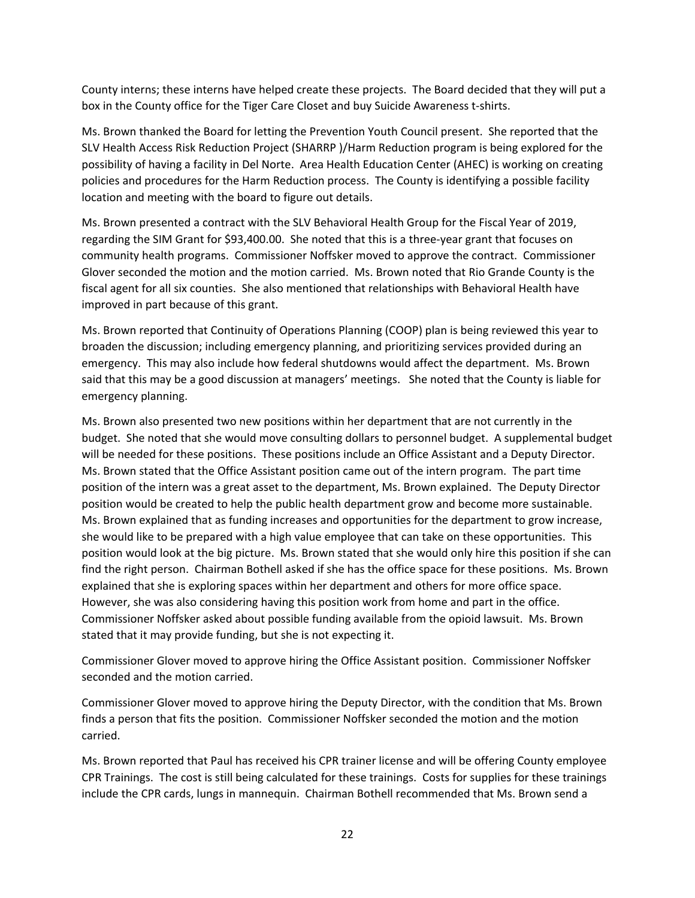County interns; these interns have helped create these projects. The Board decided that they will put a box in the County office for the Tiger Care Closet and buy Suicide Awareness t-shirts.

Ms. Brown thanked the Board for letting the Prevention Youth Council present. She reported that the SLV Health Access Risk Reduction Project (SHARRP )/Harm Reduction program is being explored for the possibility of having a facility in Del Norte. Area Health Education Center (AHEC) is working on creating policies and procedures for the Harm Reduction process. The County is identifying a possible facility location and meeting with the board to figure out details.

Ms. Brown presented a contract with the SLV Behavioral Health Group for the Fiscal Year of 2019, regarding the SIM Grant for \$93,400.00. She noted that this is a three-year grant that focuses on community health programs. Commissioner Noffsker moved to approve the contract. Commissioner Glover seconded the motion and the motion carried. Ms. Brown noted that Rio Grande County is the fiscal agent for all six counties. She also mentioned that relationships with Behavioral Health have improved in part because of this grant.

Ms. Brown reported that Continuity of Operations Planning (COOP) plan is being reviewed this year to broaden the discussion; including emergency planning, and prioritizing services provided during an emergency. This may also include how federal shutdowns would affect the department. Ms. Brown said that this may be a good discussion at managers' meetings. She noted that the County is liable for emergency planning.

Ms. Brown also presented two new positions within her department that are not currently in the budget. She noted that she would move consulting dollars to personnel budget. A supplemental budget will be needed for these positions. These positions include an Office Assistant and a Deputy Director. Ms. Brown stated that the Office Assistant position came out of the intern program. The part time position of the intern was a great asset to the department, Ms. Brown explained. The Deputy Director position would be created to help the public health department grow and become more sustainable. Ms. Brown explained that as funding increases and opportunities for the department to grow increase, she would like to be prepared with a high value employee that can take on these opportunities. This position would look at the big picture. Ms. Brown stated that she would only hire this position if she can find the right person. Chairman Bothell asked if she has the office space for these positions. Ms. Brown explained that she is exploring spaces within her department and others for more office space. However, she was also considering having this position work from home and part in the office. Commissioner Noffsker asked about possible funding available from the opioid lawsuit. Ms. Brown stated that it may provide funding, but she is not expecting it.

Commissioner Glover moved to approve hiring the Office Assistant position. Commissioner Noffsker seconded and the motion carried.

Commissioner Glover moved to approve hiring the Deputy Director, with the condition that Ms. Brown finds a person that fits the position. Commissioner Noffsker seconded the motion and the motion carried.

Ms. Brown reported that Paul has received his CPR trainer license and will be offering County employee CPR Trainings. The cost is still being calculated for these trainings. Costs for supplies for these trainings include the CPR cards, lungs in mannequin. Chairman Bothell recommended that Ms. Brown send a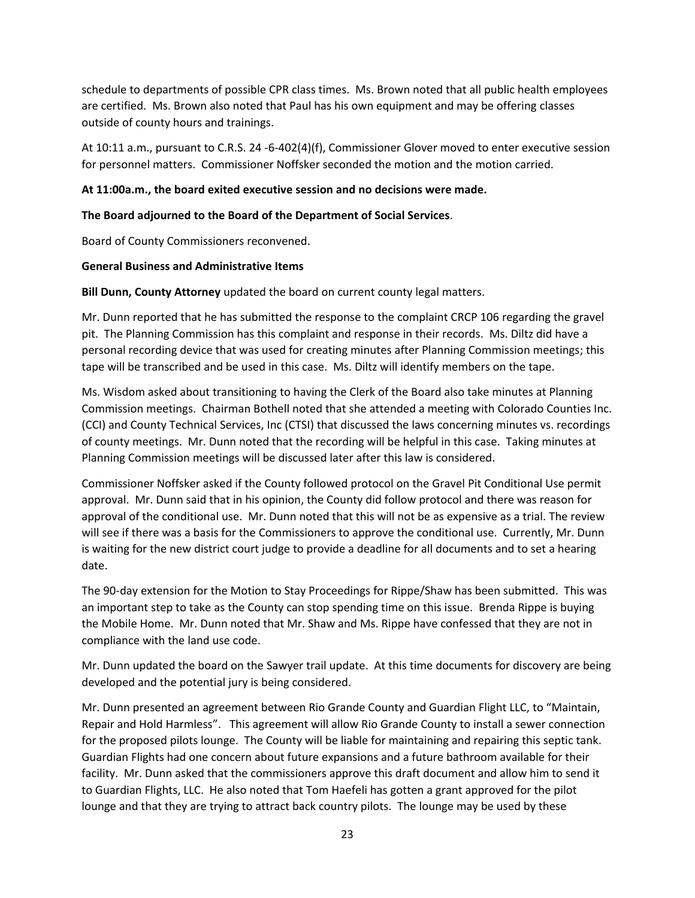schedule to departments of possible CPR class times. Ms. Brown noted that all public health employees are certified. Ms. Brown also noted that Paul has his own equipment and may be offering classes outside of county hours and trainings.

At 10:11 a.m., pursuant to C.R.S. 24 -6-402(4)(f), Commissioner Glover moved to enter executive session for personnel matters. Commissioner Noffsker seconded the motion and the motion carried.

### **At 11:00a.m., the board exited executive session and no decisions were made.**

#### **The Board adjourned to the Board of the Department of Social Services**.

Board of County Commissioners reconvened.

#### **General Business and Administrative Items**

**Bill Dunn, County Attorney** updated the board on current county legal matters.

Mr. Dunn reported that he has submitted the response to the complaint CRCP 106 regarding the gravel pit. The Planning Commission has this complaint and response in their records. Ms. Diltz did have a personal recording device that was used for creating minutes after Planning Commission meetings; this tape will be transcribed and be used in this case. Ms. Diltz will identify members on the tape.

Ms. Wisdom asked about transitioning to having the Clerk of the Board also take minutes at Planning Commission meetings. Chairman Bothell noted that she attended a meeting with Colorado Counties Inc. (CCI) and County Technical Services, Inc (CTSI) that discussed the laws concerning minutes vs. recordings of county meetings. Mr. Dunn noted that the recording will be helpful in this case. Taking minutes at Planning Commission meetings will be discussed later after this law is considered.

Commissioner Noffsker asked if the County followed protocol on the Gravel Pit Conditional Use permit approval. Mr. Dunn said that in his opinion, the County did follow protocol and there was reason for approval of the conditional use. Mr. Dunn noted that this will not be as expensive as a trial. The review will see if there was a basis for the Commissioners to approve the conditional use. Currently, Mr. Dunn is waiting for the new district court judge to provide a deadline for all documents and to set a hearing date.

The 90-day extension for the Motion to Stay Proceedings for Rippe/Shaw has been submitted. This was an important step to take as the County can stop spending time on this issue. Brenda Rippe is buying the Mobile Home. Mr. Dunn noted that Mr. Shaw and Ms. Rippe have confessed that they are not in compliance with the land use code.

Mr. Dunn updated the board on the Sawyer trail update. At this time documents for discovery are being developed and the potential jury is being considered.

Mr. Dunn presented an agreement between Rio Grande County and Guardian Flight LLC, to "Maintain, Repair and Hold Harmless". This agreement will allow Rio Grande County to install a sewer connection for the proposed pilots lounge. The County will be liable for maintaining and repairing this septic tank. Guardian Flights had one concern about future expansions and a future bathroom available for their facility. Mr. Dunn asked that the commissioners approve this draft document and allow him to send it to Guardian Flights, LLC. He also noted that Tom Haefeli has gotten a grant approved for the pilot lounge and that they are trying to attract back country pilots. The lounge may be used by these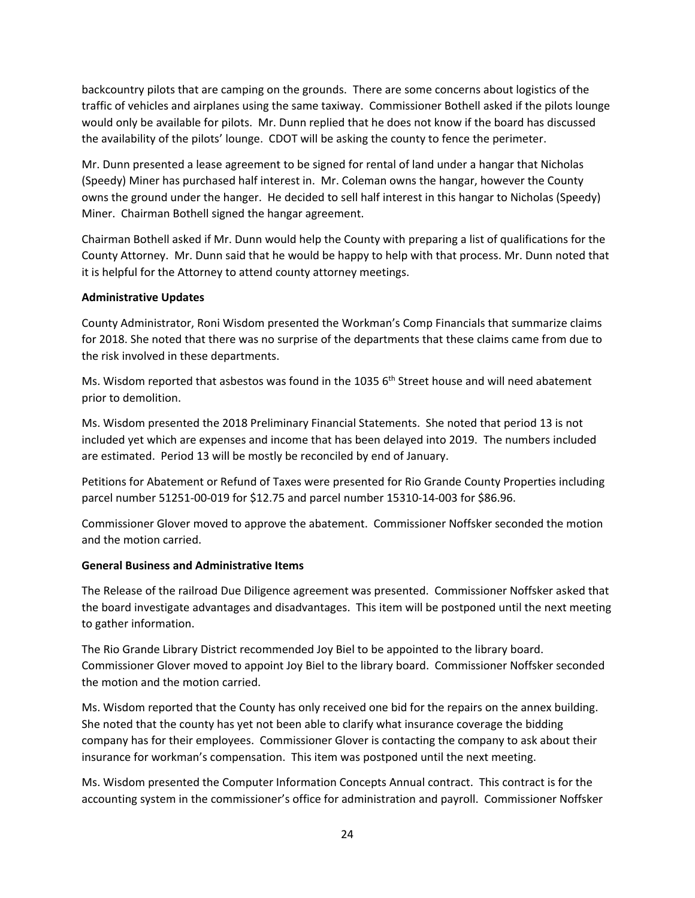backcountry pilots that are camping on the grounds. There are some concerns about logistics of the traffic of vehicles and airplanes using the same taxiway. Commissioner Bothell asked if the pilots lounge would only be available for pilots. Mr. Dunn replied that he does not know if the board has discussed the availability of the pilots' lounge. CDOT will be asking the county to fence the perimeter.

Mr. Dunn presented a lease agreement to be signed for rental of land under a hangar that Nicholas (Speedy) Miner has purchased half interest in. Mr. Coleman owns the hangar, however the County owns the ground under the hanger. He decided to sell half interest in this hangar to Nicholas (Speedy) Miner. Chairman Bothell signed the hangar agreement.

Chairman Bothell asked if Mr. Dunn would help the County with preparing a list of qualifications for the County Attorney. Mr. Dunn said that he would be happy to help with that process. Mr. Dunn noted that it is helpful for the Attorney to attend county attorney meetings.

### **Administrative Updates**

County Administrator, Roni Wisdom presented the Workman's Comp Financials that summarize claims for 2018. She noted that there was no surprise of the departments that these claims came from due to the risk involved in these departments.

Ms. Wisdom reported that asbestos was found in the 1035 6<sup>th</sup> Street house and will need abatement prior to demolition.

Ms. Wisdom presented the 2018 Preliminary Financial Statements. She noted that period 13 is not included yet which are expenses and income that has been delayed into 2019. The numbers included are estimated. Period 13 will be mostly be reconciled by end of January.

Petitions for Abatement or Refund of Taxes were presented for Rio Grande County Properties including parcel number 51251-00-019 for \$12.75 and parcel number 15310-14-003 for \$86.96.

Commissioner Glover moved to approve the abatement. Commissioner Noffsker seconded the motion and the motion carried.

### **General Business and Administrative Items**

The Release of the railroad Due Diligence agreement was presented. Commissioner Noffsker asked that the board investigate advantages and disadvantages. This item will be postponed until the next meeting to gather information.

The Rio Grande Library District recommended Joy Biel to be appointed to the library board. Commissioner Glover moved to appoint Joy Biel to the library board. Commissioner Noffsker seconded the motion and the motion carried.

Ms. Wisdom reported that the County has only received one bid for the repairs on the annex building. She noted that the county has yet not been able to clarify what insurance coverage the bidding company has for their employees. Commissioner Glover is contacting the company to ask about their insurance for workman's compensation. This item was postponed until the next meeting.

Ms. Wisdom presented the Computer Information Concepts Annual contract. This contract is for the accounting system in the commissioner's office for administration and payroll. Commissioner Noffsker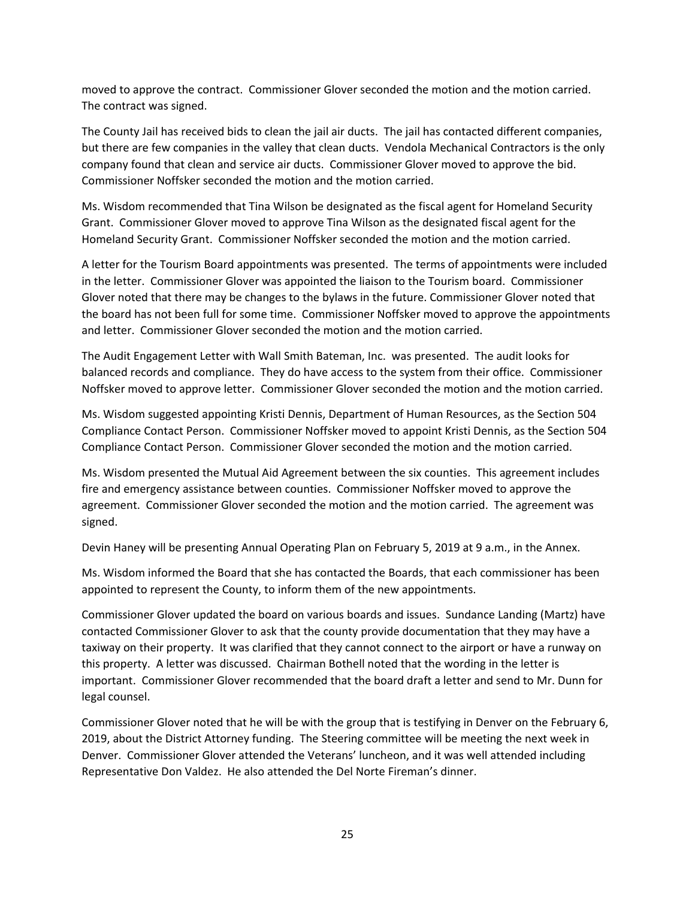moved to approve the contract. Commissioner Glover seconded the motion and the motion carried. The contract was signed.

The County Jail has received bids to clean the jail air ducts. The jail has contacted different companies, but there are few companies in the valley that clean ducts. Vendola Mechanical Contractors is the only company found that clean and service air ducts. Commissioner Glover moved to approve the bid. Commissioner Noffsker seconded the motion and the motion carried.

Ms. Wisdom recommended that Tina Wilson be designated as the fiscal agent for Homeland Security Grant. Commissioner Glover moved to approve Tina Wilson as the designated fiscal agent for the Homeland Security Grant. Commissioner Noffsker seconded the motion and the motion carried.

A letter for the Tourism Board appointments was presented. The terms of appointments were included in the letter. Commissioner Glover was appointed the liaison to the Tourism board. Commissioner Glover noted that there may be changes to the bylaws in the future. Commissioner Glover noted that the board has not been full for some time. Commissioner Noffsker moved to approve the appointments and letter. Commissioner Glover seconded the motion and the motion carried.

The Audit Engagement Letter with Wall Smith Bateman, Inc. was presented. The audit looks for balanced records and compliance. They do have access to the system from their office. Commissioner Noffsker moved to approve letter. Commissioner Glover seconded the motion and the motion carried.

Ms. Wisdom suggested appointing Kristi Dennis, Department of Human Resources, as the Section 504 Compliance Contact Person. Commissioner Noffsker moved to appoint Kristi Dennis, as the Section 504 Compliance Contact Person. Commissioner Glover seconded the motion and the motion carried.

Ms. Wisdom presented the Mutual Aid Agreement between the six counties. This agreement includes fire and emergency assistance between counties. Commissioner Noffsker moved to approve the agreement. Commissioner Glover seconded the motion and the motion carried. The agreement was signed.

Devin Haney will be presenting Annual Operating Plan on February 5, 2019 at 9 a.m., in the Annex.

Ms. Wisdom informed the Board that she has contacted the Boards, that each commissioner has been appointed to represent the County, to inform them of the new appointments.

Commissioner Glover updated the board on various boards and issues. Sundance Landing (Martz) have contacted Commissioner Glover to ask that the county provide documentation that they may have a taxiway on their property. It was clarified that they cannot connect to the airport or have a runway on this property. A letter was discussed. Chairman Bothell noted that the wording in the letter is important. Commissioner Glover recommended that the board draft a letter and send to Mr. Dunn for legal counsel.

Commissioner Glover noted that he will be with the group that is testifying in Denver on the February 6, 2019, about the District Attorney funding. The Steering committee will be meeting the next week in Denver. Commissioner Glover attended the Veterans' luncheon, and it was well attended including Representative Don Valdez. He also attended the Del Norte Fireman's dinner.